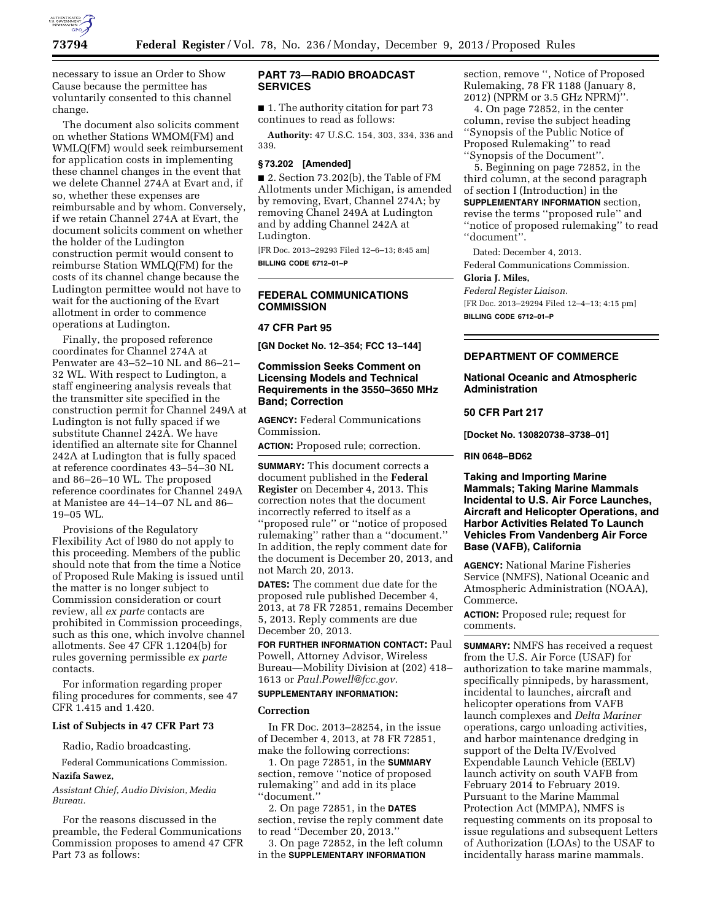

necessary to issue an Order to Show Cause because the permittee has voluntarily consented to this channel change.

The document also solicits comment on whether Stations WMOM(FM) and WMLQ(FM) would seek reimbursement for application costs in implementing these channel changes in the event that we delete Channel 274A at Evart and, if so, whether these expenses are reimbursable and by whom. Conversely, if we retain Channel 274A at Evart, the document solicits comment on whether the holder of the Ludington construction permit would consent to reimburse Station WMLQ(FM) for the costs of its channel change because the Ludington permittee would not have to wait for the auctioning of the Evart allotment in order to commence operations at Ludington.

Finally, the proposed reference coordinates for Channel 274A at Penwater are 43–52–10 NL and 86–21– 32 WL. With respect to Ludington, a staff engineering analysis reveals that the transmitter site specified in the construction permit for Channel 249A at Ludington is not fully spaced if we substitute Channel 242A. We have identified an alternate site for Channel 242A at Ludington that is fully spaced at reference coordinates 43–54–30 NL and 86–26–10 WL. The proposed reference coordinates for Channel 249A at Manistee are 44–14–07 NL and 86– 19–05 WL.

Provisions of the Regulatory Flexibility Act of l980 do not apply to this proceeding. Members of the public should note that from the time a Notice of Proposed Rule Making is issued until the matter is no longer subject to Commission consideration or court review, all *ex parte* contacts are prohibited in Commission proceedings, such as this one, which involve channel allotments. See 47 CFR 1.1204(b) for rules governing permissible *ex parte*  contacts.

For information regarding proper filing procedures for comments, see 47 CFR 1.415 and 1.420.

# **List of Subjects in 47 CFR Part 73**

Radio, Radio broadcasting.

Federal Communications Commission.

#### **Nazifa Sawez,**

*Assistant Chief, Audio Division, Media Bureau.* 

For the reasons discussed in the preamble, the Federal Communications Commission proposes to amend 47 CFR Part 73 as follows:

# **PART 73—RADIO BROADCAST SERVICES**

■ 1. The authority citation for part 73 continues to read as follows:

**Authority:** 47 U.S.C. 154, 303, 334, 336 and 339.

#### **§ 73.202 [Amended]**

■ 2. Section 73.202(b), the Table of FM Allotments under Michigan, is amended by removing, Evart, Channel 274A; by removing Chanel 249A at Ludington and by adding Channel 242A at Ludington.

[FR Doc. 2013–29293 Filed 12–6–13; 8:45 am] **BILLING CODE 6712–01–P** 

## **FEDERAL COMMUNICATIONS COMMISSION**

# **47 CFR Part 95**

**[GN Docket No. 12–354; FCC 13–144]** 

## **Commission Seeks Comment on Licensing Models and Technical Requirements in the 3550–3650 MHz Band; Correction**

**AGENCY:** Federal Communications Commission.

**ACTION:** Proposed rule; correction.

**SUMMARY:** This document corrects a document published in the **Federal Register** on December 4, 2013. This correction notes that the document incorrectly referred to itself as a ''proposed rule'' or ''notice of proposed rulemaking'' rather than a ''document.'' In addition, the reply comment date for the document is December 20, 2013, and not March 20, 2013.

**DATES:** The comment due date for the proposed rule published December 4, 2013, at 78 FR 72851, remains December 5, 2013. Reply comments are due December 20, 2013.

**FOR FURTHER INFORMATION CONTACT:** Paul Powell, Attorney Advisor, Wireless Bureau—Mobility Division at (202) 418– 1613 or *[Paul.Powell@fcc.gov.](mailto:Paul.Powell@fcc.gov)* 

### **SUPPLEMENTARY INFORMATION:**

#### **Correction**

In FR Doc. 2013–28254, in the issue of December 4, 2013, at 78 FR 72851, make the following corrections:

1. On page 72851, in the **SUMMARY** section, remove ''notice of proposed rulemaking'' and add in its place ''document.''

2. On page 72851, in the **DATES** section, revise the reply comment date to read ''December 20, 2013.''

3. On page 72852, in the left column in the **SUPPLEMENTARY INFORMATION**

section, remove '', Notice of Proposed Rulemaking, 78 FR 1188 (January 8, 2012) (NPRM or 3.5 GHz NPRM)''.

4. On page 72852, in the center column, revise the subject heading ''Synopsis of the Public Notice of Proposed Rulemaking'' to read ''Synopsis of the Document''.

5. Beginning on page 72852, in the third column, at the second paragraph of section I (Introduction) in the **SUPPLEMENTARY INFORMATION** section, revise the terms ''proposed rule'' and ''notice of proposed rulemaking'' to read ''document''.

Dated: December 4, 2013.

Federal Communications Commission.

#### **Gloria J. Miles,**

*Federal Register Liaison.* 

[FR Doc. 2013–29294 Filed 12–4–13; 4:15 pm] **BILLING CODE 6712–01–P** 

## **DEPARTMENT OF COMMERCE**

## **National Oceanic and Atmospheric Administration**

#### **50 CFR Part 217**

**[Docket No. 130820738–3738–01]** 

**RIN 0648–BD62** 

**Taking and Importing Marine Mammals; Taking Marine Mammals Incidental to U.S. Air Force Launches, Aircraft and Helicopter Operations, and Harbor Activities Related To Launch Vehicles From Vandenberg Air Force Base (VAFB), California** 

**AGENCY:** National Marine Fisheries Service (NMFS), National Oceanic and Atmospheric Administration (NOAA), Commerce.

**ACTION:** Proposed rule; request for comments.

**SUMMARY:** NMFS has received a request from the U.S. Air Force (USAF) for authorization to take marine mammals, specifically pinnipeds, by harassment, incidental to launches, aircraft and helicopter operations from VAFB launch complexes and *Delta Mariner*  operations, cargo unloading activities, and harbor maintenance dredging in support of the Delta IV/Evolved Expendable Launch Vehicle (EELV) launch activity on south VAFB from February 2014 to February 2019. Pursuant to the Marine Mammal Protection Act (MMPA), NMFS is requesting comments on its proposal to issue regulations and subsequent Letters of Authorization (LOAs) to the USAF to incidentally harass marine mammals.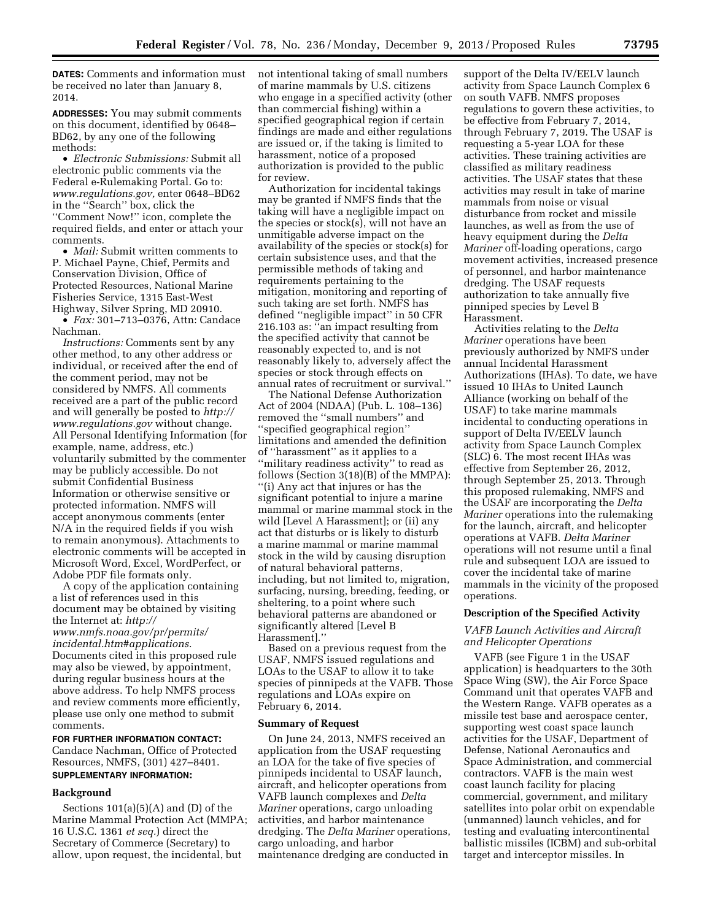**DATES:** Comments and information must be received no later than January 8, 2014.

**ADDRESSES:** You may submit comments on this document, identified by 0648– BD62, by any one of the following methods:

• *Electronic Submissions:* Submit all electronic public comments via the Federal e-Rulemaking Portal. Go to: *[www.regulations.gov,](http://www.regulations.gov)* enter 0648–BD62 in the ''Search'' box, click the ''Comment Now!'' icon, complete the required fields, and enter or attach your comments.

• *Mail:* Submit written comments to P. Michael Payne, Chief, Permits and Conservation Division, Office of Protected Resources, National Marine Fisheries Service, 1315 East-West Highway, Silver Spring, MD 20910.

• *Fax:* 301–713–0376, Attn: Candace Nachman.

*Instructions:* Comments sent by any other method, to any other address or individual, or received after the end of the comment period, may not be considered by NMFS. All comments received are a part of the public record and will generally be posted to *[http://](http://www.regulations.gov) [www.regulations.gov](http://www.regulations.gov)* without change. All Personal Identifying Information (for example, name, address, etc.) voluntarily submitted by the commenter may be publicly accessible. Do not submit Confidential Business Information or otherwise sensitive or protected information. NMFS will accept anonymous comments (enter N/A in the required fields if you wish to remain anonymous). Attachments to electronic comments will be accepted in Microsoft Word, Excel, WordPerfect, or Adobe PDF file formats only.

A copy of the application containing a list of references used in this document may be obtained by visiting the Internet at: *[http://](http://www.nmfs.noaa.gov/pr/permits/incidental.htm#applications) [www.nmfs.noaa.gov/pr/permits/](http://www.nmfs.noaa.gov/pr/permits/incidental.htm#applications) [incidental.htm#applications.](http://www.nmfs.noaa.gov/pr/permits/incidental.htm#applications)*  Documents cited in this proposed rule may also be viewed, by appointment, during regular business hours at the above address. To help NMFS process and review comments more efficiently, please use only one method to submit comments.

**FOR FURTHER INFORMATION CONTACT:**  Candace Nachman, Office of Protected Resources, NMFS, (301) 427–8401. **SUPPLEMENTARY INFORMATION:** 

## **Background**

Sections  $101(a)(5)(A)$  and  $(D)$  of the Marine Mammal Protection Act (MMPA; 16 U.S.C. 1361 *et seq.*) direct the Secretary of Commerce (Secretary) to allow, upon request, the incidental, but

not intentional taking of small numbers of marine mammals by U.S. citizens who engage in a specified activity (other than commercial fishing) within a specified geographical region if certain findings are made and either regulations are issued or, if the taking is limited to harassment, notice of a proposed authorization is provided to the public for review.

Authorization for incidental takings may be granted if NMFS finds that the taking will have a negligible impact on the species or stock(s), will not have an unmitigable adverse impact on the availability of the species or stock(s) for certain subsistence uses, and that the permissible methods of taking and requirements pertaining to the mitigation, monitoring and reporting of such taking are set forth. NMFS has defined ''negligible impact'' in 50 CFR 216.103 as: ''an impact resulting from the specified activity that cannot be reasonably expected to, and is not reasonably likely to, adversely affect the species or stock through effects on annual rates of recruitment or survival.''

The National Defense Authorization Act of 2004 (NDAA) (Pub. L. 108–136) removed the ''small numbers'' and ''specified geographical region'' limitations and amended the definition of ''harassment'' as it applies to a ''military readiness activity'' to read as follows (Section 3(18)(B) of the MMPA): ''(i) Any act that injures or has the significant potential to injure a marine mammal or marine mammal stock in the wild [Level A Harassment]; or (ii) any act that disturbs or is likely to disturb a marine mammal or marine mammal stock in the wild by causing disruption of natural behavioral patterns, including, but not limited to, migration, surfacing, nursing, breeding, feeding, or sheltering, to a point where such behavioral patterns are abandoned or significantly altered [Level B Harassment].''

Based on a previous request from the USAF, NMFS issued regulations and LOAs to the USAF to allow it to take species of pinnipeds at the VAFB. Those regulations and LOAs expire on February 6, 2014.

#### **Summary of Request**

On June 24, 2013, NMFS received an application from the USAF requesting an LOA for the take of five species of pinnipeds incidental to USAF launch, aircraft, and helicopter operations from VAFB launch complexes and *Delta Mariner* operations, cargo unloading activities, and harbor maintenance dredging. The *Delta Mariner* operations, cargo unloading, and harbor maintenance dredging are conducted in

support of the Delta IV/EELV launch activity from Space Launch Complex 6 on south VAFB. NMFS proposes regulations to govern these activities, to be effective from February 7, 2014, through February 7, 2019. The USAF is requesting a 5-year LOA for these activities. These training activities are classified as military readiness activities. The USAF states that these activities may result in take of marine mammals from noise or visual disturbance from rocket and missile launches, as well as from the use of heavy equipment during the *Delta Mariner* off-loading operations, cargo movement activities, increased presence of personnel, and harbor maintenance dredging. The USAF requests authorization to take annually five pinniped species by Level B Harassment.

Activities relating to the *Delta Mariner* operations have been previously authorized by NMFS under annual Incidental Harassment Authorizations (IHAs). To date, we have issued 10 IHAs to United Launch Alliance (working on behalf of the USAF) to take marine mammals incidental to conducting operations in support of Delta IV/EELV launch activity from Space Launch Complex (SLC) 6. The most recent IHAs was effective from September 26, 2012, through September 25, 2013. Through this proposed rulemaking, NMFS and the USAF are incorporating the *Delta Mariner* operations into the rulemaking for the launch, aircraft, and helicopter operations at VAFB. *Delta Mariner*  operations will not resume until a final rule and subsequent LOA are issued to cover the incidental take of marine mammals in the vicinity of the proposed operations.

## **Description of the Specified Activity**

## *VAFB Launch Activities and Aircraft and Helicopter Operations*

VAFB (see Figure 1 in the USAF application) is headquarters to the 30th Space Wing (SW), the Air Force Space Command unit that operates VAFB and the Western Range. VAFB operates as a missile test base and aerospace center, supporting west coast space launch activities for the USAF, Department of Defense, National Aeronautics and Space Administration, and commercial contractors. VAFB is the main west coast launch facility for placing commercial, government, and military satellites into polar orbit on expendable (unmanned) launch vehicles, and for testing and evaluating intercontinental ballistic missiles (ICBM) and sub-orbital target and interceptor missiles. In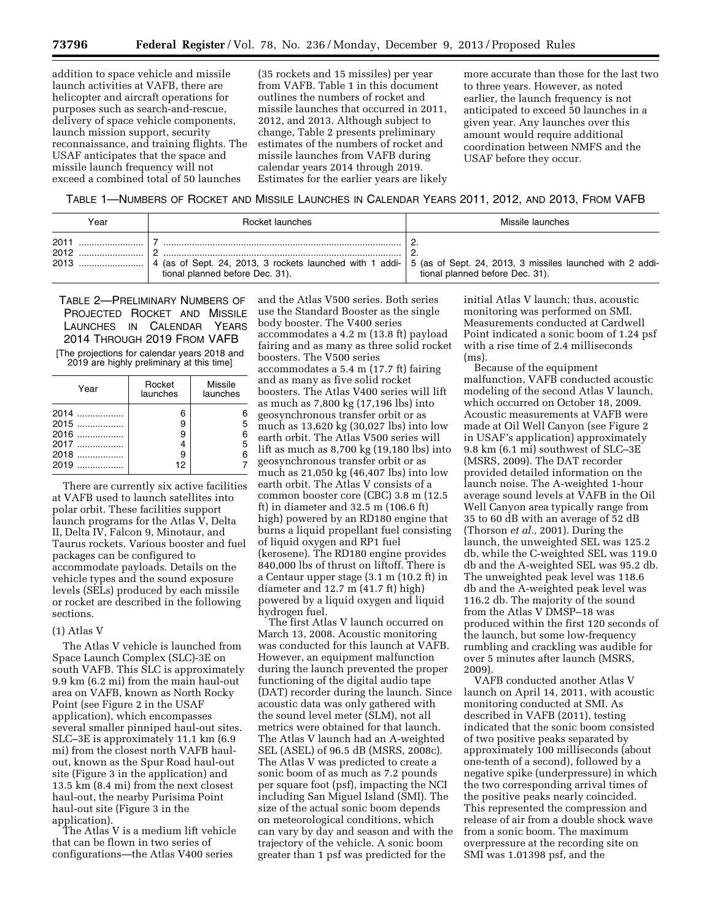addition to space vehicle and missile launch activities at VAFB, there are helicopter and aircraft operations for purposes such as search-and-rescue, delivery of space vehicle components, launch mission support, security reconnaissance, and training flights. The USAF anticipates that the space and missile launch frequency will not exceed a combined total of 50 launches

(35 rockets and 15 missiles) per year from VAFB. Table 1 in this document outlines the numbers of rocket and missile launches that occurred in 2011, 2012, and 2013. Although subject to change, Table 2 presents preliminary estimates of the numbers of rocket and missile launches from VAFB during calendar years 2014 through 2019. Estimates for the earlier years are likely

more accurate than those for the last two to three years. However, as noted earlier, the launch frequency is not anticipated to exceed 50 launches in a given year. Any launches over this amount would require additional coordination between NMFS and the USAF before they occur.

TABLE 1—NUMBERS OF ROCKET AND MISSILE LAUNCHES IN CALENDAR YEARS 2011, 2012, AND 2013, FROM VAFB

| Year         | Rocket launches                 | Missile launches                                                                                                                                      |
|--------------|---------------------------------|-------------------------------------------------------------------------------------------------------------------------------------------------------|
| 2011<br>2012 | tional planned before Dec. 31). | 4 (as of Sept. 24, 2013, 3 rockets launched with 1 addi- 5 (as of Sept. 24, 2013, 3 missiles launched with 2 addi-<br>tional planned before Dec. 31). |

TABLE 2—PRELIMINARY NUMBERS OF PROJECTED ROCKET AND MISSILE LAUNCHES IN CALENDAR YEARS 2014 THROUGH 2019 FROM VAFB

[The projections for calendar years 2018 and 2019 are highly preliminary at this time]

| Year                                             | Rocket<br>launches          | Missile<br>launches |
|--------------------------------------------------|-----------------------------|---------------------|
| 2014<br>2015<br>2016<br>2017<br>$2018$<br>$2019$ | 6<br>9<br>9<br>4<br>9<br>12 | 5<br>6<br>5<br>6    |

There are currently six active facilities at VAFB used to launch satellites into polar orbit. These facilities support launch programs for the Atlas V, Delta II, Delta IV, Falcon 9, Minotaur, and Taurus rockets. Various booster and fuel packages can be configured to accommodate payloads. Details on the vehicle types and the sound exposure levels (SELs) produced by each missile or rocket are described in the following sections.

### (1) Atlas V

The Atlas V vehicle is launched from Space Launch Complex (SLC)-3E on south VAFB. This SLC is approximately 9.9 km (6.2 mi) from the main haul-out area on VAFB, known as North Rocky Point (see Figure 2 in the USAF application), which encompasses several smaller pinniped haul-out sites. SLC–3E is approximately 11.1 km (6.9 mi) from the closest north VAFB haulout, known as the Spur Road haul-out site (Figure 3 in the application) and 13.5 km (8.4 mi) from the next closest haul-out, the nearby Purisima Point haul-out site (Figure 3 in the application).

The Atlas V is a medium lift vehicle that can be flown in two series of configurations—the Atlas V400 series

and the Atlas V500 series. Both series use the Standard Booster as the single body booster. The V400 series accommodates a 4.2 m (13.8 ft) payload fairing and as many as three solid rocket boosters. The V500 series accommodates a 5.4 m (17.7 ft) fairing and as many as five solid rocket boosters. The Atlas V400 series will lift as much as 7,800 kg (17,196 lbs) into geosynchronous transfer orbit or as much as 13,620 kg (30,027 lbs) into low earth orbit. The Atlas V500 series will lift as much as 8,700 kg (19,180 lbs) into geosynchronous transfer orbit or as much as 21,050 kg (46,407 lbs) into low earth orbit. The Atlas V consists of a common booster core (CBC) 3.8 m (12.5 ft) in diameter and 32.5 m (106.6 ft) high) powered by an RD180 engine that burns a liquid propellant fuel consisting of liquid oxygen and RP1 fuel (kerosene). The RD180 engine provides 840,000 lbs of thrust on liftoff. There is a Centaur upper stage (3.1 m (10.2 ft) in diameter and 12.7 m (41.7 ft) high) powered by a liquid oxygen and liquid hydrogen fuel.

The first Atlas V launch occurred on March 13, 2008. Acoustic monitoring was conducted for this launch at VAFB. However, an equipment malfunction during the launch prevented the proper functioning of the digital audio tape (DAT) recorder during the launch. Since acoustic data was only gathered with the sound level meter (SLM), not all metrics were obtained for that launch. The Atlas V launch had an A-weighted SEL (ASEL) of 96.5 dB (MSRS, 2008c). The Atlas V was predicted to create a sonic boom of as much as 7.2 pounds per square foot (psf), impacting the NCI including San Miguel Island (SMI). The size of the actual sonic boom depends on meteorological conditions, which can vary by day and season and with the trajectory of the vehicle. A sonic boom greater than 1 psf was predicted for the

initial Atlas V launch; thus, acoustic monitoring was performed on SMI. Measurements conducted at Cardwell Point indicated a sonic boom of 1.24 psf with a rise time of 2.4 milliseconds (ms).

Because of the equipment malfunction, VAFB conducted acoustic modeling of the second Atlas V launch, which occurred on October 18, 2009. Acoustic measurements at VAFB were made at Oil Well Canyon (see Figure 2 in USAF's application) approximately 9.8 km (6.1 mi) southwest of SLC–3E (MSRS, 2009). The DAT recorder provided detailed information on the launch noise. The A-weighted 1-hour average sound levels at VAFB in the Oil Well Canyon area typically range from 35 to 60 dB with an average of 52 dB (Thorson *et al.,* 2001). During the launch, the unweighted SEL was 125.2 db, while the C-weighted SEL was 119.0 db and the A-weighted SEL was 95.2 db. The unweighted peak level was 118.6 db and the A-weighted peak level was 116.2 db. The majority of the sound from the Atlas V DMSP–18 was produced within the first 120 seconds of the launch, but some low-frequency rumbling and crackling was audible for over 5 minutes after launch (MSRS, 2009).

VAFB conducted another Atlas V launch on April 14, 2011, with acoustic monitoring conducted at SMI. As described in VAFB (2011), testing indicated that the sonic boom consisted of two positive peaks separated by approximately 100 milliseconds (about one-tenth of a second), followed by a negative spike (underpressure) in which the two corresponding arrival times of the positive peaks nearly coincided. This represented the compression and release of air from a double shock wave from a sonic boom. The maximum overpressure at the recording site on SMI was 1.01398 psf, and the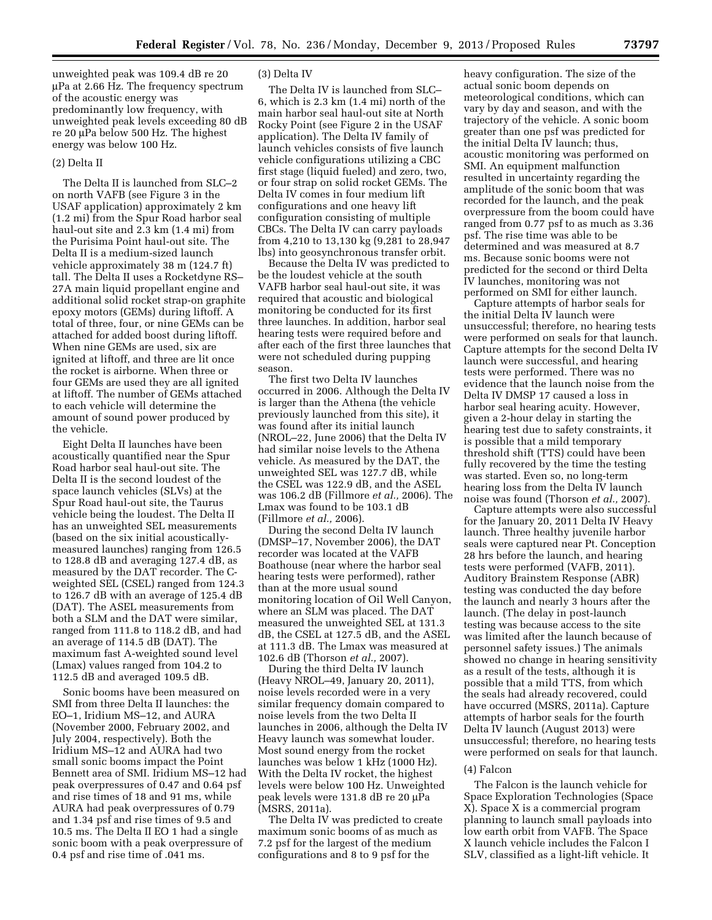unweighted peak was 109.4 dB re 20 µPa at 2.66 Hz. The frequency spectrum of the acoustic energy was predominantly low frequency, with unweighted peak levels exceeding 80 dB re 20 µPa below 500 Hz. The highest energy was below 100 Hz.

## (2) Delta II

The Delta II is launched from SLC–2 on north VAFB (see Figure 3 in the USAF application) approximately 2 km (1.2 mi) from the Spur Road harbor seal haul-out site and 2.3 km (1.4 mi) from the Purisima Point haul-out site. The Delta II is a medium-sized launch vehicle approximately 38 m (124.7 ft) tall. The Delta II uses a Rocketdyne RS– 27A main liquid propellant engine and additional solid rocket strap-on graphite epoxy motors (GEMs) during liftoff. A total of three, four, or nine GEMs can be attached for added boost during liftoff. When nine GEMs are used, six are ignited at liftoff, and three are lit once the rocket is airborne. When three or four GEMs are used they are all ignited at liftoff. The number of GEMs attached to each vehicle will determine the amount of sound power produced by the vehicle.

Eight Delta II launches have been acoustically quantified near the Spur Road harbor seal haul-out site. The Delta II is the second loudest of the space launch vehicles (SLVs) at the Spur Road haul-out site, the Taurus vehicle being the loudest. The Delta II has an unweighted SEL measurements (based on the six initial acousticallymeasured launches) ranging from 126.5 to 128.8 dB and averaging 127.4 dB, as measured by the DAT recorder. The Cweighted SEL (CSEL) ranged from 124.3 to 126.7 dB with an average of 125.4 dB (DAT). The ASEL measurements from both a SLM and the DAT were similar, ranged from 111.8 to 118.2 dB, and had an average of 114.5 dB (DAT). The maximum fast A-weighted sound level (Lmax) values ranged from 104.2 to 112.5 dB and averaged 109.5 dB.

Sonic booms have been measured on SMI from three Delta II launches: the EO–1, Iridium MS–12, and AURA (November 2000, February 2002, and July 2004, respectively). Both the Iridium MS–12 and AURA had two small sonic booms impact the Point Bennett area of SMI. Iridium MS–12 had peak overpressures of 0.47 and 0.64 psf and rise times of 18 and 91 ms, while AURA had peak overpressures of 0.79 and 1.34 psf and rise times of 9.5 and 10.5 ms. The Delta II EO 1 had a single sonic boom with a peak overpressure of 0.4 psf and rise time of .041 ms.

## (3) Delta IV

The Delta IV is launched from SLC– 6, which is 2.3 km (1.4 mi) north of the main harbor seal haul-out site at North Rocky Point (see Figure 2 in the USAF application). The Delta IV family of launch vehicles consists of five launch vehicle configurations utilizing a CBC first stage (liquid fueled) and zero, two, or four strap on solid rocket GEMs. The Delta IV comes in four medium lift configurations and one heavy lift configuration consisting of multiple CBCs. The Delta IV can carry payloads from 4,210 to 13,130 kg (9,281 to 28,947 lbs) into geosynchronous transfer orbit.

Because the Delta IV was predicted to be the loudest vehicle at the south VAFB harbor seal haul-out site, it was required that acoustic and biological monitoring be conducted for its first three launches. In addition, harbor seal hearing tests were required before and after each of the first three launches that were not scheduled during pupping season.

The first two Delta IV launches occurred in 2006. Although the Delta IV is larger than the Athena (the vehicle previously launched from this site), it was found after its initial launch (NROL–22, June 2006) that the Delta IV had similar noise levels to the Athena vehicle. As measured by the DAT, the unweighted SEL was 127.7 dB, while the CSEL was 122.9 dB, and the ASEL was 106.2 dB (Fillmore *et al.,* 2006). The Lmax was found to be 103.1 dB (Fillmore *et al.,* 2006).

During the second Delta IV launch (DMSP–17, November 2006), the DAT recorder was located at the VAFB Boathouse (near where the harbor seal hearing tests were performed), rather than at the more usual sound monitoring location of Oil Well Canyon, where an SLM was placed. The DAT measured the unweighted SEL at 131.3 dB, the CSEL at 127.5 dB, and the ASEL at 111.3 dB. The Lmax was measured at 102.6 dB (Thorson *et al.,* 2007).

During the third Delta IV launch (Heavy NROL–49, January 20, 2011), noise levels recorded were in a very similar frequency domain compared to noise levels from the two Delta II launches in 2006, although the Delta IV Heavy launch was somewhat louder. Most sound energy from the rocket launches was below 1 kHz (1000 Hz). With the Delta IV rocket, the highest levels were below 100 Hz. Unweighted peak levels were 131.8 dB re 20 µPa (MSRS, 2011a).

The Delta IV was predicted to create maximum sonic booms of as much as 7.2 psf for the largest of the medium configurations and 8 to 9 psf for the

heavy configuration. The size of the actual sonic boom depends on meteorological conditions, which can vary by day and season, and with the trajectory of the vehicle. A sonic boom greater than one psf was predicted for the initial Delta IV launch; thus, acoustic monitoring was performed on SMI. An equipment malfunction resulted in uncertainty regarding the amplitude of the sonic boom that was recorded for the launch, and the peak overpressure from the boom could have ranged from 0.77 psf to as much as 3.36 psf. The rise time was able to be determined and was measured at 8.7 ms. Because sonic booms were not predicted for the second or third Delta IV launches, monitoring was not performed on SMI for either launch.

Capture attempts of harbor seals for the initial Delta IV launch were unsuccessful; therefore, no hearing tests were performed on seals for that launch. Capture attempts for the second Delta IV launch were successful, and hearing tests were performed. There was no evidence that the launch noise from the Delta IV DMSP 17 caused a loss in harbor seal hearing acuity. However, given a 2-hour delay in starting the hearing test due to safety constraints, it is possible that a mild temporary threshold shift (TTS) could have been fully recovered by the time the testing was started. Even so, no long-term hearing loss from the Delta IV launch noise was found (Thorson *et al.,* 2007).

Capture attempts were also successful for the January 20, 2011 Delta IV Heavy launch. Three healthy juvenile harbor seals were captured near Pt. Conception 28 hrs before the launch, and hearing tests were performed (VAFB, 2011). Auditory Brainstem Response (ABR) testing was conducted the day before the launch and nearly 3 hours after the launch. (The delay in post-launch testing was because access to the site was limited after the launch because of personnel safety issues.) The animals showed no change in hearing sensitivity as a result of the tests, although it is possible that a mild TTS, from which the seals had already recovered, could have occurred (MSRS, 2011a). Capture attempts of harbor seals for the fourth Delta IV launch (August 2013) were unsuccessful; therefore, no hearing tests were performed on seals for that launch.

## (4) Falcon

The Falcon is the launch vehicle for Space Exploration Technologies (Space X). Space X is a commercial program planning to launch small payloads into low earth orbit from VAFB. The Space X launch vehicle includes the Falcon I SLV, classified as a light-lift vehicle. It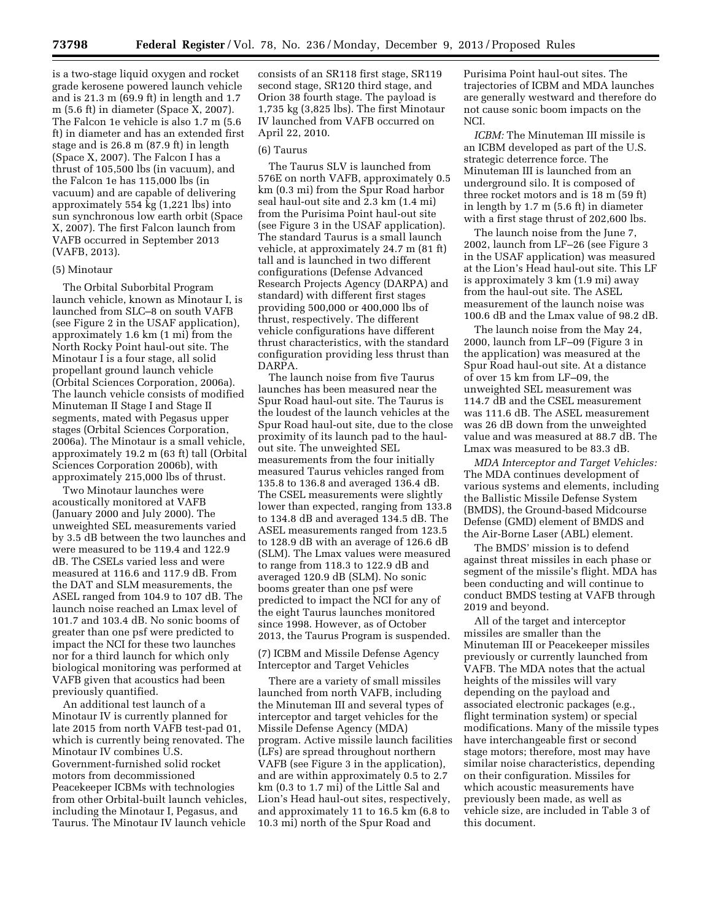is a two-stage liquid oxygen and rocket grade kerosene powered launch vehicle and is 21.3 m (69.9 ft) in length and 1.7 m (5.6 ft) in diameter (Space X, 2007). The Falcon 1e vehicle is also 1.7 m (5.6 ft) in diameter and has an extended first stage and is 26.8 m (87.9 ft) in length (Space X, 2007). The Falcon I has a thrust of 105,500 lbs (in vacuum), and the Falcon 1e has 115,000 lbs (in vacuum) and are capable of delivering approximately 554 kg (1,221 lbs) into sun synchronous low earth orbit (Space X, 2007). The first Falcon launch from VAFB occurred in September 2013 (VAFB, 2013).

### (5) Minotaur

The Orbital Suborbital Program launch vehicle, known as Minotaur I, is launched from SLC–8 on south VAFB (see Figure 2 in the USAF application), approximately 1.6 km (1 mi) from the North Rocky Point haul-out site. The Minotaur I is a four stage, all solid propellant ground launch vehicle (Orbital Sciences Corporation, 2006a). The launch vehicle consists of modified Minuteman II Stage I and Stage II segments, mated with Pegasus upper stages (Orbital Sciences Corporation, 2006a). The Minotaur is a small vehicle, approximately 19.2 m (63 ft) tall (Orbital Sciences Corporation 2006b), with approximately 215,000 lbs of thrust.

Two Minotaur launches were acoustically monitored at VAFB (January 2000 and July 2000). The unweighted SEL measurements varied by 3.5 dB between the two launches and were measured to be 119.4 and 122.9 dB. The CSELs varied less and were measured at 116.6 and 117.9 dB. From the DAT and SLM measurements, the ASEL ranged from 104.9 to 107 dB. The launch noise reached an Lmax level of 101.7 and 103.4 dB. No sonic booms of greater than one psf were predicted to impact the NCI for these two launches nor for a third launch for which only biological monitoring was performed at VAFB given that acoustics had been previously quantified.

An additional test launch of a Minotaur IV is currently planned for late 2015 from north VAFB test-pad 01, which is currently being renovated. The Minotaur IV combines U.S. Government-furnished solid rocket motors from decommissioned Peacekeeper ICBMs with technologies from other Orbital-built launch vehicles, including the Minotaur I, Pegasus, and Taurus. The Minotaur IV launch vehicle

consists of an SR118 first stage, SR119 second stage, SR120 third stage, and Orion 38 fourth stage. The payload is 1,735 kg (3,825 lbs). The first Minotaur IV launched from VAFB occurred on April 22, 2010.

## (6) Taurus

The Taurus SLV is launched from 576E on north VAFB, approximately 0.5 km (0.3 mi) from the Spur Road harbor seal haul-out site and 2.3 km (1.4 mi) from the Purisima Point haul-out site (see Figure 3 in the USAF application). The standard Taurus is a small launch vehicle, at approximately 24.7 m (81 ft) tall and is launched in two different configurations (Defense Advanced Research Projects Agency (DARPA) and standard) with different first stages providing 500,000 or 400,000 lbs of thrust, respectively. The different vehicle configurations have different thrust characteristics, with the standard configuration providing less thrust than DARPA.

The launch noise from five Taurus launches has been measured near the Spur Road haul-out site. The Taurus is the loudest of the launch vehicles at the Spur Road haul-out site, due to the close proximity of its launch pad to the haulout site. The unweighted SEL measurements from the four initially measured Taurus vehicles ranged from 135.8 to 136.8 and averaged 136.4 dB. The CSEL measurements were slightly lower than expected, ranging from 133.8 to 134.8 dB and averaged 134.5 dB. The ASEL measurements ranged from 123.5 to 128.9 dB with an average of 126.6 dB (SLM). The Lmax values were measured to range from 118.3 to 122.9 dB and averaged 120.9 dB (SLM). No sonic booms greater than one psf were predicted to impact the NCI for any of the eight Taurus launches monitored since 1998. However, as of October 2013, the Taurus Program is suspended.

(7) ICBM and Missile Defense Agency Interceptor and Target Vehicles

There are a variety of small missiles launched from north VAFB, including the Minuteman III and several types of interceptor and target vehicles for the Missile Defense Agency (MDA) program. Active missile launch facilities (LFs) are spread throughout northern VAFB (see Figure 3 in the application), and are within approximately 0.5 to 2.7 km (0.3 to 1.7 mi) of the Little Sal and Lion's Head haul-out sites, respectively, and approximately 11 to 16.5 km (6.8 to 10.3 mi) north of the Spur Road and

Purisima Point haul-out sites. The trajectories of ICBM and MDA launches are generally westward and therefore do not cause sonic boom impacts on the NCI.

*ICBM:* The Minuteman III missile is an ICBM developed as part of the U.S. strategic deterrence force. The Minuteman III is launched from an underground silo. It is composed of three rocket motors and is 18 m (59 ft) in length by 1.7 m (5.6 ft) in diameter with a first stage thrust of 202,600 lbs.

The launch noise from the June 7, 2002, launch from LF–26 (see Figure 3 in the USAF application) was measured at the Lion's Head haul-out site. This LF is approximately 3 km (1.9 mi) away from the haul-out site. The ASEL measurement of the launch noise was 100.6 dB and the Lmax value of 98.2 dB.

The launch noise from the May 24, 2000, launch from LF–09 (Figure 3 in the application) was measured at the Spur Road haul-out site. At a distance of over 15 km from LF–09, the unweighted SEL measurement was 114.7 dB and the CSEL measurement was 111.6 dB. The ASEL measurement was 26 dB down from the unweighted value and was measured at 88.7 dB. The Lmax was measured to be 83.3 dB.

*MDA Interceptor and Target Vehicles:*  The MDA continues development of various systems and elements, including the Ballistic Missile Defense System (BMDS), the Ground-based Midcourse Defense (GMD) element of BMDS and the Air-Borne Laser (ABL) element.

The BMDS' mission is to defend against threat missiles in each phase or segment of the missile's flight. MDA has been conducting and will continue to conduct BMDS testing at VAFB through 2019 and beyond.

All of the target and interceptor missiles are smaller than the Minuteman III or Peacekeeper missiles previously or currently launched from VAFB. The MDA notes that the actual heights of the missiles will vary depending on the payload and associated electronic packages (e.g., flight termination system) or special modifications. Many of the missile types have interchangeable first or second stage motors; therefore, most may have similar noise characteristics, depending on their configuration. Missiles for which acoustic measurements have previously been made, as well as vehicle size, are included in Table 3 of this document.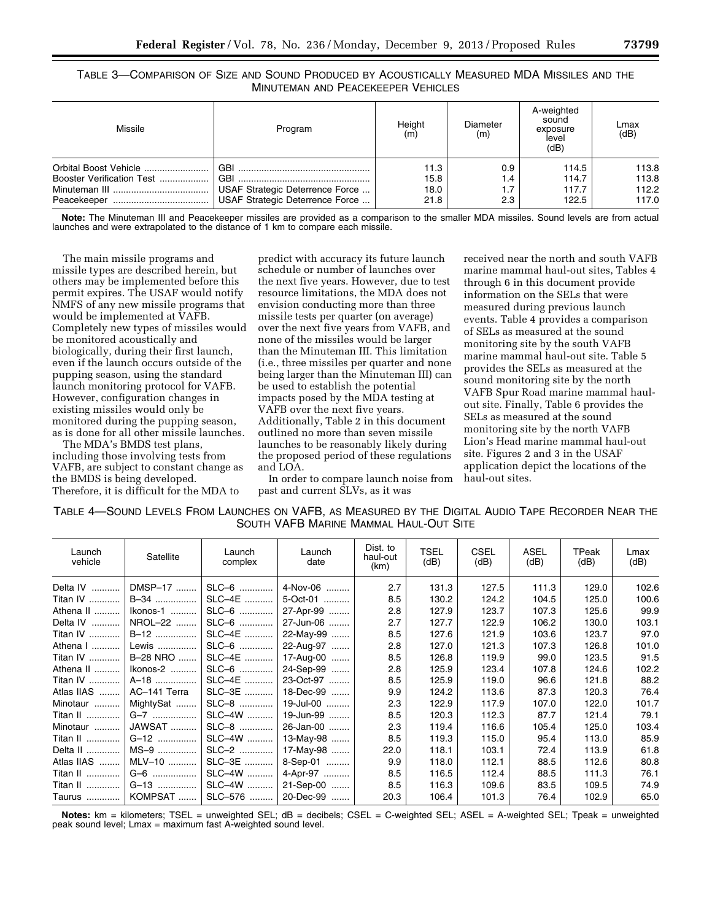| TABLE 3—COMPARISON OF SIZE AND SOUND PRODUCED BY ACOUSTICALLY MEASURED MDA MISSILES AND THE |  |
|---------------------------------------------------------------------------------------------|--|
| MINUTEMAN AND PEACEKEEPER VEHICLES                                                          |  |

| Missile                   | Program                         | Height<br>(m) | Diameter<br>(m) | A-weighted<br>sound<br>exposure<br>level<br>(dB) | Lmax<br>(dB) |
|---------------------------|---------------------------------|---------------|-----------------|--------------------------------------------------|--------------|
| Orbital Boost Vehicle     |                                 | 11.3          | 0.9             | 114.5                                            | 113.8        |
| Booster Verification Test |                                 | 15.8          | 1.4             | 114.7                                            | 113.8        |
|                           | USAF Strategic Deterrence Force | 18.0          | 1.7             | 117.7                                            | 112.2        |
|                           | USAF Strategic Deterrence Force | 21.8          | 2.3             | 122.5                                            | 117.0        |

**Note:** The Minuteman III and Peacekeeper missiles are provided as a comparison to the smaller MDA missiles. Sound levels are from actual launches and were extrapolated to the distance of 1 km to compare each missile.

The main missile programs and missile types are described herein, but others may be implemented before this permit expires. The USAF would notify NMFS of any new missile programs that would be implemented at VAFB. Completely new types of missiles would be monitored acoustically and biologically, during their first launch, even if the launch occurs outside of the pupping season, using the standard launch monitoring protocol for VAFB. However, configuration changes in existing missiles would only be monitored during the pupping season, as is done for all other missile launches.

The MDA's BMDS test plans, including those involving tests from VAFB, are subject to constant change as the BMDS is being developed. Therefore, it is difficult for the MDA to

predict with accuracy its future launch schedule or number of launches over the next five years. However, due to test resource limitations, the MDA does not envision conducting more than three missile tests per quarter (on average) over the next five years from VAFB, and none of the missiles would be larger than the Minuteman III. This limitation (i.e., three missiles per quarter and none being larger than the Minuteman III) can be used to establish the potential impacts posed by the MDA testing at VAFB over the next five years. Additionally, Table 2 in this document outlined no more than seven missile launches to be reasonably likely during the proposed period of these regulations and LOA.

In order to compare launch noise from past and current SLVs, as it was

received near the north and south VAFB marine mammal haul-out sites, Tables 4 through 6 in this document provide information on the SELs that were measured during previous launch events. Table 4 provides a comparison of SELs as measured at the sound monitoring site by the south VAFB marine mammal haul-out site. Table 5 provides the SELs as measured at the sound monitoring site by the north VAFB Spur Road marine mammal haulout site. Finally, Table 6 provides the SELs as measured at the sound monitoring site by the north VAFB Lion's Head marine mammal haul-out site. Figures 2 and 3 in the USAF application depict the locations of the haul-out sites.

| TABLE 4-SOUND LEVELS FROM LAUNCHES ON VAFB, AS MEASURED BY THE DIGITAL AUDIO TAPE RECORDER NEAR THE |  |
|-----------------------------------------------------------------------------------------------------|--|
| SOUTH VAFB MARINE MAMMAL HAUL-OUT SITE                                                              |  |

| Launch<br>vehicle | Satellite    | Launch<br>complex | Launch<br>date | Dist. to<br>haul-out<br>(km) | <b>TSEL</b><br>(dB) | <b>CSEL</b><br>(dB) | <b>ASEL</b><br>(dB) | TPeak<br>(dB) | Lmax<br>(dB) |
|-------------------|--------------|-------------------|----------------|------------------------------|---------------------|---------------------|---------------------|---------------|--------------|
| Delta IV          | DMSP-17      | SLC-6             | 4-Nov-06       | 2.7                          | 131.3               | 127.5               | 111.3               | 129.0         | 102.6        |
| Titan IV          | B-34         | SLC-4E            | 5-Oct-01       | 8.5                          | 130.2               | 124.2               | 104.5               | 125.0         | 100.6        |
| Athena II         | Ikonos-1     | SLC-6             | 27-Apr-99      | 2.8                          | 127.9               | 123.7               | 107.3               | 125.6         | 99.9         |
| Delta IV          | NROL-22      | SLC-6             | 27-Jun-06      | 2.7                          | 127.7               | 122.9               | 106.2               | 130.0         | 103.1        |
| Titan IV          | B-12         | SLC-4E            | 22-May-99      | 8.5                          | 127.6               | 121.9               | 103.6               | 123.7         | 97.0         |
| Athena I          | Lewis        | SLC-6             | 22-Aug-97      | 2.8                          | 127.0               | 121.3               | 107.3               | 126.8         | 101.0        |
| Titan IV          | B-28 NRO     | SLC-4E            | 17-Aug-00      | 8.5                          | 126.8               | 119.9               | 99.0                | 123.5         | 91.5         |
| Athena II         | Ikonos-2     | SLC-6             | 24-Sep-99      | 2.8                          | 125.9               | 123.4               | 107.8               | 124.6         | 102.2        |
| Titan IV          | A-18         | SLC-4E            | 23-Oct-97      | 8.5                          | 125.9               | 119.0               | 96.6                | 121.8         | 88.2         |
| Atlas IIAS        | AC-141 Terra | SLC-3E            | 18-Dec-99      | 9.9                          | 124.2               | 113.6               | 87.3                | 120.3         | 76.4         |
| Minotaur          | MightySat    | SLC-8             | 19-Jul-00      | 2.3                          | 122.9               | 117.9               | 107.0               | 122.0         | 101.7        |
| Titan II          | G-7          | SLC-4W            | 19-Jun-99      | 8.5                          | 120.3               | 112.3               | 87.7                | 121.4         | 79.1         |
| Minotaur          | JAWSAT       | SLC-8             | 26-Jan-00      | 2.3                          | 119.4               | 116.6               | 105.4               | 125.0         | 103.4        |
| Titan II          | G-12         | SLC-4W            | 13-May-98      | 8.5                          | 119.3               | 115.0               | 95.4                | 113.0         | 85.9         |
| Delta II          | $MS-9$       | SLC-2             | 17-May-98      | 22.0                         | 118.1               | 103.1               | 72.4                | 113.9         | 61.8         |
| Atlas IIAS        | MLV-10       | SLC-3E            | 8-Sep-01       | 9.9                          | 118.0               | 112.1               | 88.5                | 112.6         | 80.8         |
| Titan II          | G-6          | SLC-4W            | 4-Apr-97       | 8.5                          | 116.5               | 112.4               | 88.5                | 111.3         | 76.1         |
| Titan II          | G-13         | SLC-4W            | 21-Sep-00      | 8.5                          | 116.3               | 109.6               | 83.5                | 109.5         | 74.9         |
| Taurus            | KOMPSAT      | SLC-576           | 20-Dec-99      | 20.3                         | 106.4               | 101.3               | 76.4                | 102.9         | 65.0         |

**Notes:** km = kilometers; TSEL = unweighted SEL; dB = decibels; CSEL = C-weighted SEL; ASEL = A-weighted SEL; Tpeak = unweighted peak sound level; Lmax = maximum fast A-weighted sound level.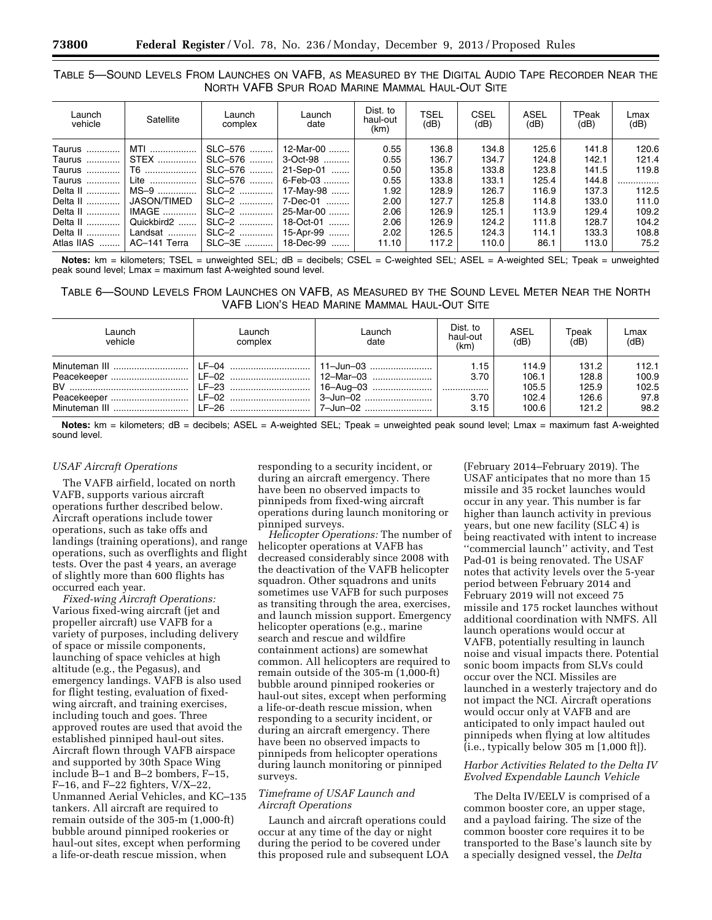# TABLE 5—SOUND LEVELS FROM LAUNCHES ON VAFB, AS MEASURED BY THE DIGITAL AUDIO TAPE RECORDER NEAR THE NORTH VAFB SPUR ROAD MARINE MAMMAL HAUL-OUT SITE

| Launch<br>vehicle | Satellite          | Launch<br>complex | Launch<br>date | Dist. to<br>haul-out<br>(km) | TSEL<br>(dB) | <b>CSEL</b><br>(dB) | ASEL<br>(dB) | TPeak<br>(dB) | Lmax<br>(dB) |
|-------------------|--------------------|-------------------|----------------|------------------------------|--------------|---------------------|--------------|---------------|--------------|
| Taurus            | MTI                | SLC-576           | 12-Mar-00      | 0.55                         | 136.8        | 134.8               | 125.6        | 141.8         | 120.6        |
| Taurus            | <b>STEX</b>        | SLC-576           | 3-Oct-98       | 0.55                         | 136.7        | 134.7               | 124.8        | 142.1         | 121.4        |
| Taurus            | T6                 | SLC-576           | 21-Sep-01<br>  | 0.50                         | 135.8        | 133.8               | 123.8        | 141.5         | 119.8        |
| Taurus            | Lite               | SLC-576<br>       | 6-Feb-03       | 0.55                         | 133.8        | 133.1               | 125.4        | 144.8         | .            |
| Delta II          | $MS-9$             | SLC-2             | 17-Mav-98      | 1.92                         | 128.9        | 126.7               | 116.9        | 137.3         | 112.5        |
| Delta II          | <b>JASON/TIMED</b> | SLC-2             | 7-Dec-01       | 2.00                         | 127.7        | 125.8               | 114.8        | 133.0         | 111.0        |
| Delta II          | IMAGE              | SLC-2             | 25-Mar-00      | 2.06                         | 126.9        | 125.1               | 113.9        | 129.4         | 109.2        |
| Delta II          | Quickbird2         | SLC-2             | 18-Oct-01      | 2.06                         | 126.9        | 124.2               | 111.8        | 128.7         | 104.2        |
| Delta II          | Landsat            | SLC-2             | 15-Apr-99      | 2.02                         | 126.5        | 124.3               | 114.1        | 133.3         | 108.8        |
| Atlas IIAS        | AC-141 Terra       | SLC-3E            | 18-Dec-99      | 11.10                        | 117.2        | 110.0               | 86.1         | 113.0         | 75.2         |

**Notes:** km = kilometers; TSEL = unweighted SEL; dB = decibels; CSEL = C-weighted SEL; ASEL = A-weighted SEL; Tpeak = unweighted peak sound level; Lmax = maximum fast A-weighted sound level.

# TABLE 6—SOUND LEVELS FROM LAUNCHES ON VAFB, AS MEASURED BY THE SOUND LEVEL METER NEAR THE NORTH VAFB LION'S HEAD MARINE MAMMAL HAUL-OUT SITE

| Launch<br>vehicle | Launch<br>complex | Launch<br>date | Dist. to<br>haul-out<br>(km) | ASEL<br>(dB) | Tpeak<br>(dB) | Lmax<br>(dB) |
|-------------------|-------------------|----------------|------------------------------|--------------|---------------|--------------|
|                   |                   |                | 1.15                         | 114.9        | 131.2         | 112.1        |
|                   |                   |                | 3.70                         | 106.1        | 128.8         | 100.9        |
|                   |                   |                |                              | 105.5        | 125.9         | 102.5        |
|                   |                   |                | 3.70                         | 102.4        | 126.6         | 97.8         |
|                   |                   |                | 3.15                         | 100.6        | 121.2         | 98.2         |

**Notes:** km = kilometers; dB = decibels; ASEL = A-weighted SEL; Tpeak = unweighted peak sound level; Lmax = maximum fast A-weighted sound level.

## *USAF Aircraft Operations*

The VAFB airfield, located on north VAFB, supports various aircraft operations further described below. Aircraft operations include tower operations, such as take offs and landings (training operations), and range operations, such as overflights and flight tests. Over the past 4 years, an average of slightly more than 600 flights has occurred each year.

*Fixed-wing Aircraft Operations:*  Various fixed-wing aircraft (jet and propeller aircraft) use VAFB for a variety of purposes, including delivery of space or missile components, launching of space vehicles at high altitude (e.g., the Pegasus), and emergency landings. VAFB is also used for flight testing, evaluation of fixedwing aircraft, and training exercises, including touch and goes. Three approved routes are used that avoid the established pinniped haul-out sites. Aircraft flown through VAFB airspace and supported by 30th Space Wing include B–1 and B–2 bombers, F–15, F–16, and F–22 fighters, V/X–22, Unmanned Aerial Vehicles, and KC–135 tankers. All aircraft are required to remain outside of the 305-m (1,000-ft) bubble around pinniped rookeries or haul-out sites, except when performing a life-or-death rescue mission, when

responding to a security incident, or during an aircraft emergency. There have been no observed impacts to pinnipeds from fixed-wing aircraft operations during launch monitoring or pinniped surveys.

*Helicopter Operations:* The number of helicopter operations at VAFB has decreased considerably since 2008 with the deactivation of the VAFB helicopter squadron. Other squadrons and units sometimes use VAFB for such purposes as transiting through the area, exercises, and launch mission support. Emergency helicopter operations (e.g., marine search and rescue and wildfire containment actions) are somewhat common. All helicopters are required to remain outside of the 305-m (1,000-ft) bubble around pinniped rookeries or haul-out sites, except when performing a life-or-death rescue mission, when responding to a security incident, or during an aircraft emergency. There have been no observed impacts to pinnipeds from helicopter operations during launch monitoring or pinniped surveys.

## *Timeframe of USAF Launch and Aircraft Operations*

Launch and aircraft operations could occur at any time of the day or night during the period to be covered under this proposed rule and subsequent LOA

(February 2014–February 2019). The USAF anticipates that no more than 15 missile and 35 rocket launches would occur in any year. This number is far higher than launch activity in previous years, but one new facility (SLC 4) is being reactivated with intent to increase ''commercial launch'' activity, and Test Pad-01 is being renovated. The USAF notes that activity levels over the 5-year period between February 2014 and February 2019 will not exceed 75 missile and 175 rocket launches without additional coordination with NMFS. All launch operations would occur at VAFB, potentially resulting in launch noise and visual impacts there. Potential sonic boom impacts from SLVs could occur over the NCI. Missiles are launched in a westerly trajectory and do not impact the NCI. Aircraft operations would occur only at VAFB and are anticipated to only impact hauled out pinnipeds when flying at low altitudes (i.e., typically below 305 m [1,000 ft]).

## *Harbor Activities Related to the Delta IV Evolved Expendable Launch Vehicle*

The Delta IV/EELV is comprised of a common booster core, an upper stage, and a payload fairing. The size of the common booster core requires it to be transported to the Base's launch site by a specially designed vessel, the *Delta*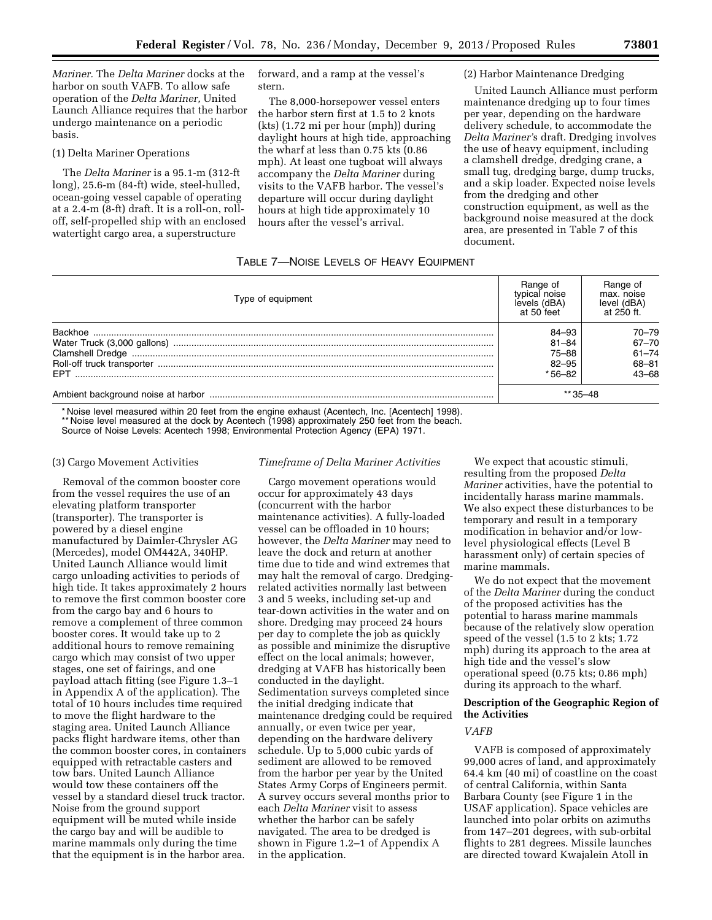*Mariner.* The *Delta Mariner* docks at the harbor on south VAFB. To allow safe operation of the *Delta Mariner,* United Launch Alliance requires that the harbor undergo maintenance on a periodic basis.

### (1) Delta Mariner Operations

The *Delta Mariner* is a 95.1-m (312-ft long), 25.6-m (84-ft) wide, steel-hulled, ocean-going vessel capable of operating at a 2.4-m (8-ft) draft. It is a roll-on, rolloff, self-propelled ship with an enclosed watertight cargo area, a superstructure

forward, and a ramp at the vessel's stern.

The 8,000-horsepower vessel enters the harbor stern first at 1.5 to 2 knots (kts) (1.72 mi per hour (mph)) during daylight hours at high tide, approaching the wharf at less than 0.75 kts (0.86 mph). At least one tugboat will always accompany the *Delta Mariner* during visits to the VAFB harbor. The vessel's departure will occur during daylight hours at high tide approximately 10 hours after the vessel's arrival.

### (2) Harbor Maintenance Dredging

United Launch Alliance must perform maintenance dredging up to four times per year, depending on the hardware delivery schedule, to accommodate the *Delta Mariner'*s draft. Dredging involves the use of heavy equipment, including a clamshell dredge, dredging crane, a small tug, dredging barge, dump trucks, and a skip loader. Expected noise levels from the dredging and other construction equipment, as well as the background noise measured at the dock area, are presented in Table 7 of this document.

# TABLE 7—NOISE LEVELS OF HEAVY EQUIPMENT

| Type of equipment | Range of<br>typical noise<br>levels (dBA)<br>at 50 feet | Range of<br>max. noise<br>level (dBA)<br>at 250 ft. |
|-------------------|---------------------------------------------------------|-----------------------------------------------------|
|                   | 84–93                                                   | 70-79                                               |
|                   | 81–84                                                   | $67 - 70$                                           |
|                   | 75–88                                                   | $61 - 74$                                           |
|                   | 82-95                                                   | $68 - 81$                                           |
| <b>FPT</b>        | * 56–82                                                 | $43 - 68$                                           |
|                   | $**35 - 48$                                             |                                                     |

\* Noise level measured within 20 feet from the engine exhaust (Acentech, Inc. [Acentech] 1998). \*\* Noise level measured at the dock by Acentech (1998) approximately 250 feet from the beach. Source of Noise Levels: Acentech 1998; Environmental Protection Agency (EPA) 1971.

#### (3) Cargo Movement Activities

Removal of the common booster core from the vessel requires the use of an elevating platform transporter (transporter). The transporter is powered by a diesel engine manufactured by Daimler-Chrysler AG (Mercedes), model OM442A, 340HP. United Launch Alliance would limit cargo unloading activities to periods of high tide. It takes approximately 2 hours to remove the first common booster core from the cargo bay and 6 hours to remove a complement of three common booster cores. It would take up to 2 additional hours to remove remaining cargo which may consist of two upper stages, one set of fairings, and one payload attach fitting (see Figure 1.3–1 in Appendix A of the application). The total of 10 hours includes time required to move the flight hardware to the staging area. United Launch Alliance packs flight hardware items, other than the common booster cores, in containers equipped with retractable casters and tow bars. United Launch Alliance would tow these containers off the vessel by a standard diesel truck tractor. Noise from the ground support equipment will be muted while inside the cargo bay and will be audible to marine mammals only during the time that the equipment is in the harbor area.

## *Timeframe of Delta Mariner Activities*

Cargo movement operations would occur for approximately 43 days (concurrent with the harbor maintenance activities). A fully-loaded vessel can be offloaded in 10 hours; however, the *Delta Mariner* may need to leave the dock and return at another time due to tide and wind extremes that may halt the removal of cargo. Dredgingrelated activities normally last between 3 and 5 weeks, including set-up and tear-down activities in the water and on shore. Dredging may proceed 24 hours per day to complete the job as quickly as possible and minimize the disruptive effect on the local animals; however, dredging at VAFB has historically been conducted in the daylight. Sedimentation surveys completed since the initial dredging indicate that maintenance dredging could be required annually, or even twice per year, depending on the hardware delivery schedule. Up to 5,000 cubic yards of sediment are allowed to be removed from the harbor per year by the United States Army Corps of Engineers permit. A survey occurs several months prior to each *Delta Mariner* visit to assess whether the harbor can be safely navigated. The area to be dredged is shown in Figure 1.2–1 of Appendix A in the application.

We expect that acoustic stimuli, resulting from the proposed *Delta Mariner* activities, have the potential to incidentally harass marine mammals. We also expect these disturbances to be temporary and result in a temporary modification in behavior and/or lowlevel physiological effects (Level B harassment only) of certain species of marine mammals.

We do not expect that the movement of the *Delta Mariner* during the conduct of the proposed activities has the potential to harass marine mammals because of the relatively slow operation speed of the vessel (1.5 to 2 kts; 1.72 mph) during its approach to the area at high tide and the vessel's slow operational speed (0.75 kts; 0.86 mph) during its approach to the wharf.

## **Description of the Geographic Region of the Activities**

### *VAFB*

VAFB is composed of approximately 99,000 acres of land, and approximately 64.4 km (40 mi) of coastline on the coast of central California, within Santa Barbara County (see Figure 1 in the USAF application). Space vehicles are launched into polar orbits on azimuths from 147–201 degrees, with sub-orbital flights to 281 degrees. Missile launches are directed toward Kwajalein Atoll in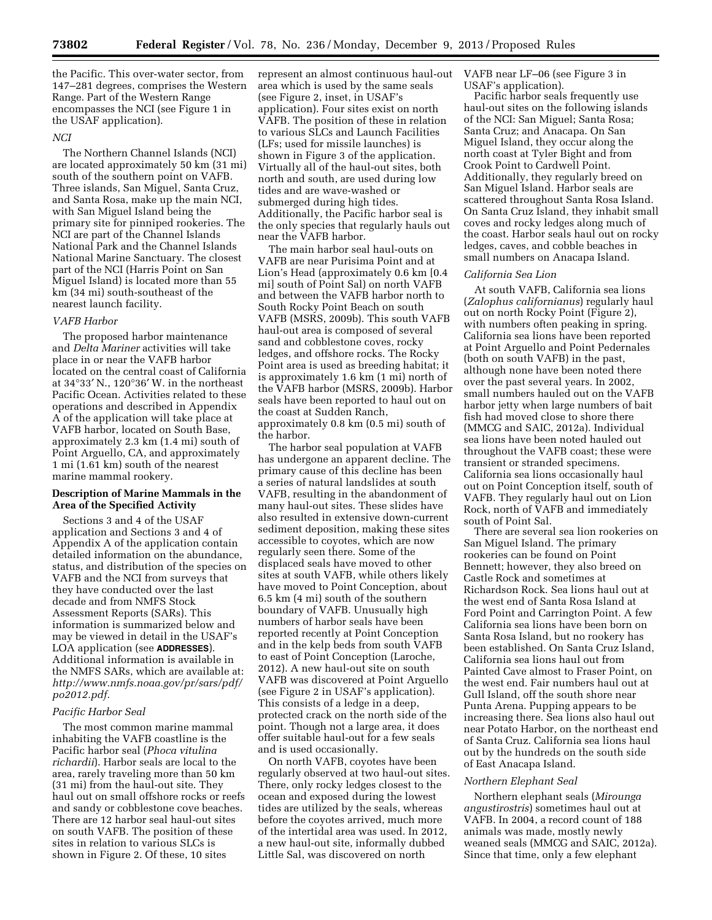the Pacific. This over-water sector, from 147–281 degrees, comprises the Western Range. Part of the Western Range encompasses the NCI (see Figure 1 in the USAF application).

### *NCI*

The Northern Channel Islands (NCI) are located approximately 50 km (31 mi) south of the southern point on VAFB. Three islands, San Miguel, Santa Cruz, and Santa Rosa, make up the main NCI, with San Miguel Island being the primary site for pinniped rookeries. The NCI are part of the Channel Islands National Park and the Channel Islands National Marine Sanctuary. The closest part of the NCI (Harris Point on San Miguel Island) is located more than 55 km (34 mi) south-southeast of the nearest launch facility.

### *VAFB Harbor*

The proposed harbor maintenance and *Delta Mariner* activities will take place in or near the VAFB harbor located on the central coast of California at 34°33′ N., 120°36′ W. in the northeast Pacific Ocean. Activities related to these operations and described in Appendix A of the application will take place at VAFB harbor, located on South Base, approximately 2.3 km (1.4 mi) south of Point Arguello, CA, and approximately 1 mi (1.61 km) south of the nearest marine mammal rookery.

## **Description of Marine Mammals in the Area of the Specified Activity**

Sections 3 and 4 of the USAF application and Sections 3 and 4 of Appendix A of the application contain detailed information on the abundance, status, and distribution of the species on VAFB and the NCI from surveys that they have conducted over the last decade and from NMFS Stock Assessment Reports (SARs). This information is summarized below and may be viewed in detail in the USAF's LOA application (see **ADDRESSES**). Additional information is available in the NMFS SARs, which are available at: *[http://www.nmfs.noaa.gov/pr/sars/pdf/](http://www.nmfs.noaa.gov/pr/sars/pdf/po2012.pdf) [po2012.pdf.](http://www.nmfs.noaa.gov/pr/sars/pdf/po2012.pdf)* 

#### *Pacific Harbor Seal*

The most common marine mammal inhabiting the VAFB coastline is the Pacific harbor seal (*Phoca vitulina richardii*). Harbor seals are local to the area, rarely traveling more than 50 km (31 mi) from the haul-out site. They haul out on small offshore rocks or reefs and sandy or cobblestone cove beaches. There are 12 harbor seal haul-out sites on south VAFB. The position of these sites in relation to various SLCs is shown in Figure 2. Of these, 10 sites

represent an almost continuous haul-out area which is used by the same seals (see Figure 2, inset, in USAF's application). Four sites exist on north VAFB. The position of these in relation to various SLCs and Launch Facilities (LFs; used for missile launches) is shown in Figure 3 of the application. Virtually all of the haul-out sites, both north and south, are used during low tides and are wave-washed or submerged during high tides. Additionally, the Pacific harbor seal is the only species that regularly hauls out near the VAFB harbor.

The main harbor seal haul-outs on VAFB are near Purisima Point and at Lion's Head (approximately 0.6 km [0.4 mi] south of Point Sal) on north VAFB and between the VAFB harbor north to South Rocky Point Beach on south VAFB (MSRS, 2009b). This south VAFB haul-out area is composed of several sand and cobblestone coves, rocky ledges, and offshore rocks. The Rocky Point area is used as breeding habitat; it is approximately 1.6 km (1 mi) north of the VAFB harbor (MSRS, 2009b). Harbor seals have been reported to haul out on the coast at Sudden Ranch, approximately 0.8 km (0.5 mi) south of the harbor.

The harbor seal population at VAFB has undergone an apparent decline. The primary cause of this decline has been a series of natural landslides at south VAFB, resulting in the abandonment of many haul-out sites. These slides have also resulted in extensive down-current sediment deposition, making these sites accessible to coyotes, which are now regularly seen there. Some of the displaced seals have moved to other sites at south VAFB, while others likely have moved to Point Conception, about 6.5 km (4 mi) south of the southern boundary of VAFB. Unusually high numbers of harbor seals have been reported recently at Point Conception and in the kelp beds from south VAFB to east of Point Conception (Laroche, 2012). A new haul-out site on south VAFB was discovered at Point Arguello (see Figure 2 in USAF's application). This consists of a ledge in a deep, protected crack on the north side of the point. Though not a large area, it does offer suitable haul-out for a few seals and is used occasionally.

On north VAFB, coyotes have been regularly observed at two haul-out sites. There, only rocky ledges closest to the ocean and exposed during the lowest tides are utilized by the seals, whereas before the coyotes arrived, much more of the intertidal area was used. In 2012, a new haul-out site, informally dubbed Little Sal, was discovered on north

VAFB near LF–06 (see Figure 3 in USAF's application).

Pacific harbor seals frequently use haul-out sites on the following islands of the NCI: San Miguel; Santa Rosa; Santa Cruz; and Anacapa. On San Miguel Island, they occur along the north coast at Tyler Bight and from Crook Point to Cardwell Point. Additionally, they regularly breed on San Miguel Island. Harbor seals are scattered throughout Santa Rosa Island. On Santa Cruz Island, they inhabit small coves and rocky ledges along much of the coast. Harbor seals haul out on rocky ledges, caves, and cobble beaches in small numbers on Anacapa Island.

#### *California Sea Lion*

At south VAFB, California sea lions (*Zalophus californianus*) regularly haul out on north Rocky Point (Figure 2), with numbers often peaking in spring. California sea lions have been reported at Point Arguello and Point Pedernales (both on south VAFB) in the past, although none have been noted there over the past several years. In 2002, small numbers hauled out on the VAFB harbor jetty when large numbers of bait fish had moved close to shore there (MMCG and SAIC, 2012a). Individual sea lions have been noted hauled out throughout the VAFB coast; these were transient or stranded specimens. California sea lions occasionally haul out on Point Conception itself, south of VAFB. They regularly haul out on Lion Rock, north of VAFB and immediately south of Point Sal.

There are several sea lion rookeries on San Miguel Island. The primary rookeries can be found on Point Bennett; however, they also breed on Castle Rock and sometimes at Richardson Rock. Sea lions haul out at the west end of Santa Rosa Island at Ford Point and Carrington Point. A few California sea lions have been born on Santa Rosa Island, but no rookery has been established. On Santa Cruz Island, California sea lions haul out from Painted Cave almost to Fraser Point, on the west end. Fair numbers haul out at Gull Island, off the south shore near Punta Arena. Pupping appears to be increasing there. Sea lions also haul out near Potato Harbor, on the northeast end of Santa Cruz. California sea lions haul out by the hundreds on the south side of East Anacapa Island.

## *Northern Elephant Seal*

Northern elephant seals (*Mirounga angustirostris*) sometimes haul out at VAFB. In 2004, a record count of 188 animals was made, mostly newly weaned seals (MMCG and SAIC, 2012a). Since that time, only a few elephant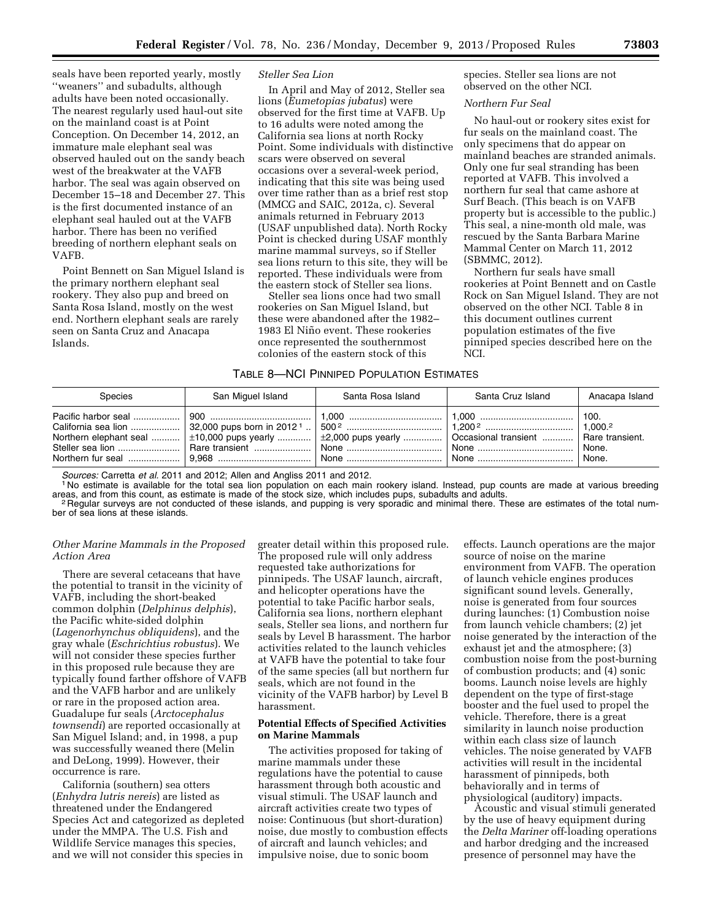seals have been reported yearly, mostly ''weaners'' and subadults, although adults have been noted occasionally. The nearest regularly used haul-out site on the mainland coast is at Point Conception. On December 14, 2012, an immature male elephant seal was observed hauled out on the sandy beach west of the breakwater at the VAFB harbor. The seal was again observed on December 15–18 and December 27. This is the first documented instance of an elephant seal hauled out at the VAFB harbor. There has been no verified breeding of northern elephant seals on VAFB.

Point Bennett on San Miguel Island is the primary northern elephant seal rookery. They also pup and breed on Santa Rosa Island, mostly on the west end. Northern elephant seals are rarely seen on Santa Cruz and Anacapa Islands.

## *Steller Sea Lion*

In April and May of 2012, Steller sea lions (*Eumetopias jubatus*) were observed for the first time at VAFB. Up to 16 adults were noted among the California sea lions at north Rocky Point. Some individuals with distinctive scars were observed on several occasions over a several-week period, indicating that this site was being used over time rather than as a brief rest stop (MMCG and SAIC, 2012a, c). Several animals returned in February 2013 (USAF unpublished data). North Rocky Point is checked during USAF monthly marine mammal surveys, so if Steller sea lions return to this site, they will be reported. These individuals were from the eastern stock of Steller sea lions.

Steller sea lions once had two small rookeries on San Miguel Island, but these were abandoned after the 1982– 1983 El Niño event. These rookeries once represented the southernmost colonies of the eastern stock of this

TABLE 8—NCI PINNIPED POPULATION ESTIMATES

species. Steller sea lions are not observed on the other NCI.

#### *Northern Fur Seal*

No haul-out or rookery sites exist for fur seals on the mainland coast. The only specimens that do appear on mainland beaches are stranded animals. Only one fur seal stranding has been reported at VAFB. This involved a northern fur seal that came ashore at Surf Beach. (This beach is on VAFB property but is accessible to the public.) This seal, a nine-month old male, was rescued by the Santa Barbara Marine Mammal Center on March 11, 2012 (SBMMC, 2012).

Northern fur seals have small rookeries at Point Bennett and on Castle Rock on San Miguel Island. They are not observed on the other NCI. Table 8 in this document outlines current population estimates of the five pinniped species described here on the NCI.

| <b>Species</b>                                  | San Miguel Island | Santa Rosa Island                                                  | Santa Cruz Island | Anacapa Island         |
|-------------------------------------------------|-------------------|--------------------------------------------------------------------|-------------------|------------------------|
| Northern elephant seal $\pm 10,000$ pups yearly |                   | $\pm 2,000$ pups yearly    Occasional transient    Rare transient. |                   | 100.<br>None.<br>None. |

Sources: Carretta et al. 2011 and 2012; Allen and Angliss 2011 and 2012.<br><sup>1</sup> No estimate is available for the total sea lion population on each main rookery island. Instead, pup counts are made at various breeding<br>areas, a

<sup>2</sup> Regular surveys are not conducted of these islands, and pupping is very sporadic and minimal there. These are estimates of the total number of sea lions at these islands.

## *Other Marine Mammals in the Proposed Action Area*

There are several cetaceans that have the potential to transit in the vicinity of VAFB, including the short-beaked common dolphin (*Delphinus delphis*), the Pacific white-sided dolphin (*Lagenorhynchus obliquidens*), and the gray whale (*Eschrichtius robustus*). We will not consider these species further in this proposed rule because they are typically found farther offshore of VAFB and the VAFB harbor and are unlikely or rare in the proposed action area. Guadalupe fur seals (*Arctocephalus townsendi*) are reported occasionally at San Miguel Island; and, in 1998, a pup was successfully weaned there (Melin and DeLong, 1999). However, their occurrence is rare.

California (southern) sea otters (*Enhydra lutris nereis*) are listed as threatened under the Endangered Species Act and categorized as depleted under the MMPA. The U.S. Fish and Wildlife Service manages this species, and we will not consider this species in

greater detail within this proposed rule. The proposed rule will only address requested take authorizations for pinnipeds. The USAF launch, aircraft, and helicopter operations have the potential to take Pacific harbor seals, California sea lions, northern elephant seals, Steller sea lions, and northern fur seals by Level B harassment. The harbor activities related to the launch vehicles at VAFB have the potential to take four of the same species (all but northern fur seals, which are not found in the vicinity of the VAFB harbor) by Level B harassment.

## **Potential Effects of Specified Activities on Marine Mammals**

The activities proposed for taking of marine mammals under these regulations have the potential to cause harassment through both acoustic and visual stimuli. The USAF launch and aircraft activities create two types of noise: Continuous (but short-duration) noise, due mostly to combustion effects of aircraft and launch vehicles; and impulsive noise, due to sonic boom

effects. Launch operations are the major source of noise on the marine environment from VAFB. The operation of launch vehicle engines produces significant sound levels. Generally, noise is generated from four sources during launches: (1) Combustion noise from launch vehicle chambers; (2) jet noise generated by the interaction of the exhaust jet and the atmosphere; (3) combustion noise from the post-burning of combustion products; and (4) sonic booms. Launch noise levels are highly dependent on the type of first-stage booster and the fuel used to propel the vehicle. Therefore, there is a great similarity in launch noise production within each class size of launch vehicles. The noise generated by VAFB activities will result in the incidental harassment of pinnipeds, both behaviorally and in terms of physiological (auditory) impacts.

Acoustic and visual stimuli generated by the use of heavy equipment during the *Delta Mariner* off-loading operations and harbor dredging and the increased presence of personnel may have the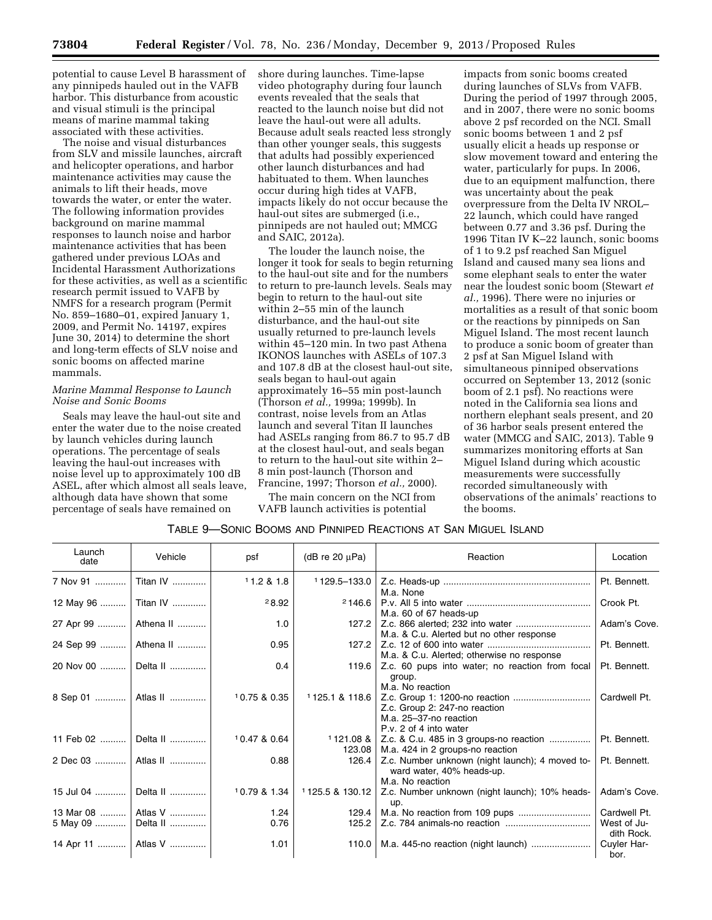potential to cause Level B harassment of any pinnipeds hauled out in the VAFB harbor. This disturbance from acoustic and visual stimuli is the principal means of marine mammal taking associated with these activities.

The noise and visual disturbances from SLV and missile launches, aircraft and helicopter operations, and harbor maintenance activities may cause the animals to lift their heads, move towards the water, or enter the water. The following information provides background on marine mammal responses to launch noise and harbor maintenance activities that has been gathered under previous LOAs and Incidental Harassment Authorizations for these activities, as well as a scientific research permit issued to VAFB by NMFS for a research program (Permit No. 859–1680–01, expired January 1, 2009, and Permit No. 14197, expires June 30, 2014) to determine the short and long-term effects of SLV noise and sonic booms on affected marine mammals.

# *Marine Mammal Response to Launch Noise and Sonic Booms*

Seals may leave the haul-out site and enter the water due to the noise created by launch vehicles during launch operations. The percentage of seals leaving the haul-out increases with noise level up to approximately 100 dB ASEL, after which almost all seals leave, although data have shown that some percentage of seals have remained on

shore during launches. Time-lapse video photography during four launch events revealed that the seals that reacted to the launch noise but did not leave the haul-out were all adults. Because adult seals reacted less strongly than other younger seals, this suggests that adults had possibly experienced other launch disturbances and had habituated to them. When launches occur during high tides at VAFB, impacts likely do not occur because the haul-out sites are submerged (i.e., pinnipeds are not hauled out; MMCG and SAIC, 2012a).

The louder the launch noise, the longer it took for seals to begin returning to the haul-out site and for the numbers to return to pre-launch levels. Seals may begin to return to the haul-out site within 2–55 min of the launch disturbance, and the haul-out site usually returned to pre-launch levels within 45–120 min. In two past Athena IKONOS launches with ASELs of 107.3 and 107.8 dB at the closest haul-out site, seals began to haul-out again approximately 16–55 min post-launch (Thorson *et al.,* 1999a; 1999b). In contrast, noise levels from an Atlas launch and several Titan II launches had ASELs ranging from 86.7 to 95.7 dB at the closest haul-out, and seals began to return to the haul-out site within 2– 8 min post-launch (Thorson and Francine, 1997; Thorson *et al.,* 2000).

The main concern on the NCI from VAFB launch activities is potential

impacts from sonic booms created during launches of SLVs from VAFB. During the period of 1997 through 2005, and in 2007, there were no sonic booms above 2 psf recorded on the NCI. Small sonic booms between 1 and 2 psf usually elicit a heads up response or slow movement toward and entering the water, particularly for pups. In 2006, due to an equipment malfunction, there was uncertainty about the peak overpressure from the Delta IV NROL– 22 launch, which could have ranged between 0.77 and 3.36 psf. During the 1996 Titan IV K–22 launch, sonic booms of 1 to 9.2 psf reached San Miguel Island and caused many sea lions and some elephant seals to enter the water near the loudest sonic boom (Stewart *et al.,* 1996). There were no injuries or mortalities as a result of that sonic boom or the reactions by pinnipeds on San Miguel Island. The most recent launch to produce a sonic boom of greater than 2 psf at San Miguel Island with simultaneous pinniped observations occurred on September 13, 2012 (sonic boom of 2.1 psf). No reactions were noted in the California sea lions and northern elephant seals present, and 20 of 36 harbor seals present entered the water (MMCG and SAIC, 2013). Table 9 summarizes monitoring efforts at San Miguel Island during which acoustic measurements were successfully recorded simultaneously with observations of the animals' reactions to the booms.

| Table 9—Sonic Booms and Pinniped Reactions at San Miguel Island |  |
|-----------------------------------------------------------------|--|
|-----------------------------------------------------------------|--|

| Launch<br>date | Vehicle                | psf          | ( $dB$ re 20 $\mu$ Pa) | Reaction                                                                                         | Location                  |
|----------------|------------------------|--------------|------------------------|--------------------------------------------------------------------------------------------------|---------------------------|
| 7 Nov 91       | Titan IV               | 11.2 & 1.8   |                        | M.a. None                                                                                        | Pt. Bennett.              |
|                | 12 May 96    Titan IV  | 28.92        | 2146.6                 | M.a. 60 of 67 heads-up                                                                           | Crook Pt.                 |
|                | 27 Apr 99    Athena II | 1.0          |                        | M.a. & C.u. Alerted but no other response                                                        | Adam's Cove.              |
|                | 24 Sep 99    Athena II | 0.95         | 127.2                  | M.a. & C.u. Alerted; otherwise no response                                                       | Pt. Bennett.              |
|                | 20 Nov 00  Delta II    | 0.4          |                        | 119.6   Z.c. 60 pups into water; no reaction from focal<br>group.<br>M.a. No reaction            | Pt. Bennett.              |
|                | 8 Sep 01    Atlas II   | 10.75 & 0.35 | 1125.1 & 118.6         | Z.c. Group 2: 247-no reaction<br>M.a. 25-37-no reaction<br>P.v. 2 of 4 into water                | Cardwell Pt.              |
| 11 Feb 02      | Delta II               | 10.47 & 0.64 | 123.08                 | $1121.08$ & $\vert$ Z.c. & C.u. 485 in 3 groups-no reaction<br>M.a. 424 in 2 groups-no reaction  | Pt. Bennett.              |
|                | 2 Dec 03    Atlas II   | 0.88         | 126.4                  | Z.c. Number unknown (night launch); 4 moved to-<br>ward water, 40% heads-up.<br>M.a. No reaction | Pt. Bennett.              |
|                | 15 Jul 04    Delta II  | 10.79 & 1.34 | 1125.5 & 130.12        | Z.c. Number unknown (night launch); 10% heads-<br>up.                                            | Adam's Cove.              |
|                | 13 Mar 08    Atlas V   | 1.24         | 129.4                  |                                                                                                  | Cardwell Pt.              |
|                | 5 May 09    Delta II   | 0.76         | 125.2                  |                                                                                                  | West of Ju-<br>dith Rock. |
|                | 14 Apr 11    Atlas V   | 1.01         | 110.0                  |                                                                                                  | Cuyler Har-<br>bor.       |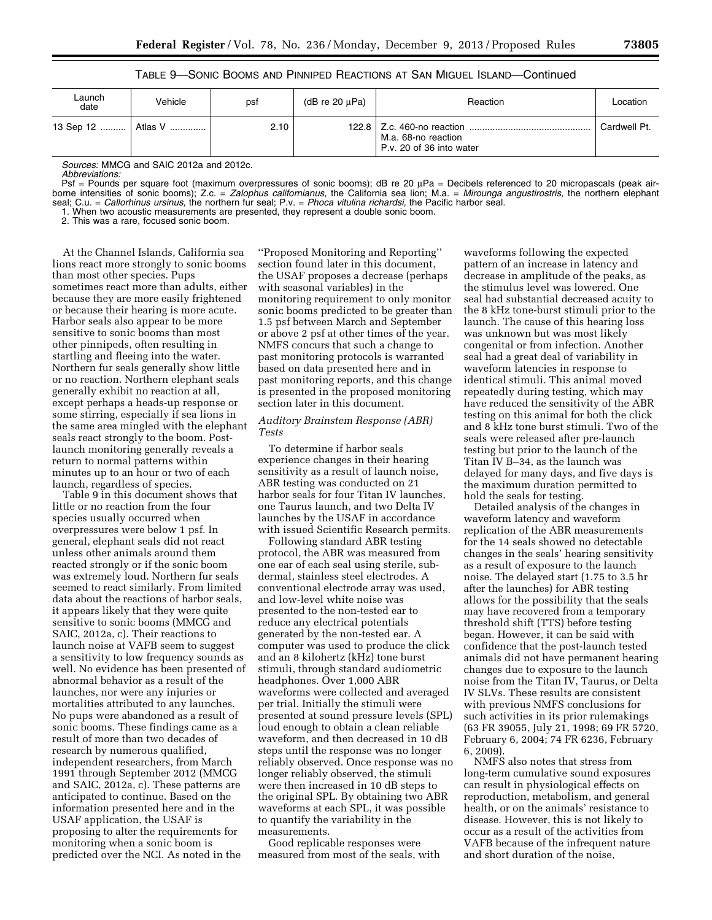TABLE 9—SONIC BOOMS AND PINNIPED REACTIONS AT SAN MIGUEL ISLAND—Continued

| Launch<br>date       | Vehicle | pst  | (dB re $20 \mu Pa$ ) | Reaction                                        | Location     |
|----------------------|---------|------|----------------------|-------------------------------------------------|--------------|
| 13 Sep 12    Atlas V |         | 2.10 |                      | M.a. 68-no reaction<br>P.v. 20 of 36 into water | Cardwell Pt. |

*Sources:* MMCG and SAIC 2012a and 2012c.

*Abbreviations:* 

Psf = Pounds per square foot (maximum overpressures of sonic booms); dB re 20 μPa = Decibels referenced to 20 micropascals (peak airborne intensities of sonic booms); Z.c. = Zalophus californianus, the California sea lion; M.a. = Mirounga angustirostris, the northern elephant seal; C.u. = *Callorhinus ursinus,* the northern fur seal; P.v. = *Phoca vitulina richardsi,* the Pacific harbor seal.

1. When two acoustic measurements are presented, they represent a double sonic boom.

2. This was a rare, focused sonic boom.

At the Channel Islands, California sea lions react more strongly to sonic booms than most other species. Pups sometimes react more than adults, either because they are more easily frightened or because their hearing is more acute. Harbor seals also appear to be more sensitive to sonic booms than most other pinnipeds, often resulting in startling and fleeing into the water. Northern fur seals generally show little or no reaction. Northern elephant seals generally exhibit no reaction at all, except perhaps a heads-up response or some stirring, especially if sea lions in the same area mingled with the elephant seals react strongly to the boom. Postlaunch monitoring generally reveals a return to normal patterns within minutes up to an hour or two of each launch, regardless of species.

Table 9 in this document shows that little or no reaction from the four species usually occurred when overpressures were below 1 psf. In general, elephant seals did not react unless other animals around them reacted strongly or if the sonic boom was extremely loud. Northern fur seals seemed to react similarly. From limited data about the reactions of harbor seals, it appears likely that they were quite sensitive to sonic booms (MMCG and SAIC, 2012a, c). Their reactions to launch noise at VAFB seem to suggest a sensitivity to low frequency sounds as well. No evidence has been presented of abnormal behavior as a result of the launches, nor were any injuries or mortalities attributed to any launches. No pups were abandoned as a result of sonic booms. These findings came as a result of more than two decades of research by numerous qualified, independent researchers, from March 1991 through September 2012 (MMCG and SAIC, 2012a, c). These patterns are anticipated to continue. Based on the information presented here and in the USAF application, the USAF is proposing to alter the requirements for monitoring when a sonic boom is predicted over the NCI. As noted in the

''Proposed Monitoring and Reporting'' section found later in this document, the USAF proposes a decrease (perhaps with seasonal variables) in the monitoring requirement to only monitor sonic booms predicted to be greater than 1.5 psf between March and September or above 2 psf at other times of the year. NMFS concurs that such a change to past monitoring protocols is warranted based on data presented here and in past monitoring reports, and this change is presented in the proposed monitoring section later in this document.

## *Auditory Brainstem Response (ABR) Tests*

To determine if harbor seals experience changes in their hearing sensitivity as a result of launch noise, ABR testing was conducted on 21 harbor seals for four Titan IV launches, one Taurus launch, and two Delta IV launches by the USAF in accordance with issued Scientific Research permits.

Following standard ABR testing protocol, the ABR was measured from one ear of each seal using sterile, subdermal, stainless steel electrodes. A conventional electrode array was used, and low-level white noise was presented to the non-tested ear to reduce any electrical potentials generated by the non-tested ear. A computer was used to produce the click and an 8 kilohertz (kHz) tone burst stimuli, through standard audiometric headphones. Over 1,000 ABR waveforms were collected and averaged per trial. Initially the stimuli were presented at sound pressure levels (SPL) loud enough to obtain a clean reliable waveform, and then decreased in 10 dB steps until the response was no longer reliably observed. Once response was no longer reliably observed, the stimuli were then increased in 10 dB steps to the original SPL. By obtaining two ABR waveforms at each SPL, it was possible to quantify the variability in the measurements.

Good replicable responses were measured from most of the seals, with

waveforms following the expected pattern of an increase in latency and decrease in amplitude of the peaks, as the stimulus level was lowered. One seal had substantial decreased acuity to the 8 kHz tone-burst stimuli prior to the launch. The cause of this hearing loss was unknown but was most likely congenital or from infection. Another seal had a great deal of variability in waveform latencies in response to identical stimuli. This animal moved repeatedly during testing, which may have reduced the sensitivity of the ABR testing on this animal for both the click and 8 kHz tone burst stimuli. Two of the seals were released after pre-launch testing but prior to the launch of the Titan IV B–34, as the launch was delayed for many days, and five days is the maximum duration permitted to hold the seals for testing.

Detailed analysis of the changes in waveform latency and waveform replication of the ABR measurements for the 14 seals showed no detectable changes in the seals' hearing sensitivity as a result of exposure to the launch noise. The delayed start (1.75 to 3.5 hr after the launches) for ABR testing allows for the possibility that the seals may have recovered from a temporary threshold shift (TTS) before testing began. However, it can be said with confidence that the post-launch tested animals did not have permanent hearing changes due to exposure to the launch noise from the Titan IV, Taurus, or Delta IV SLVs. These results are consistent with previous NMFS conclusions for such activities in its prior rulemakings (63 FR 39055, July 21, 1998; 69 FR 5720, February 6, 2004; 74 FR 6236, February 6, 2009).

NMFS also notes that stress from long-term cumulative sound exposures can result in physiological effects on reproduction, metabolism, and general health, or on the animals' resistance to disease. However, this is not likely to occur as a result of the activities from VAFB because of the infrequent nature and short duration of the noise,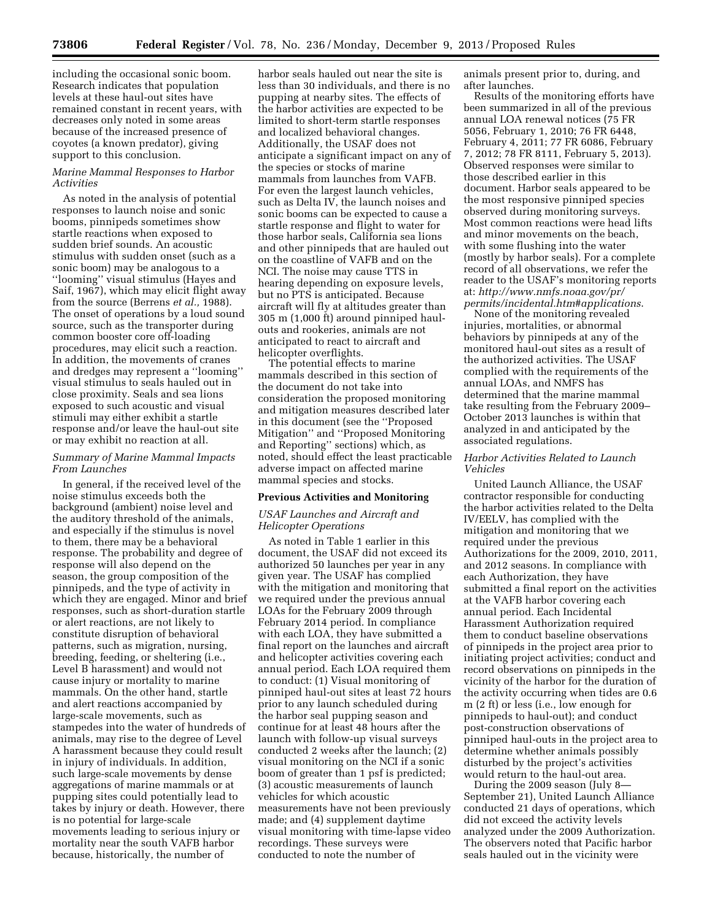including the occasional sonic boom. Research indicates that population levels at these haul-out sites have remained constant in recent years, with decreases only noted in some areas because of the increased presence of coyotes (a known predator), giving support to this conclusion.

# *Marine Mammal Responses to Harbor Activities*

As noted in the analysis of potential responses to launch noise and sonic booms, pinnipeds sometimes show startle reactions when exposed to sudden brief sounds. An acoustic stimulus with sudden onset (such as a sonic boom) may be analogous to a ''looming'' visual stimulus (Hayes and Saif, 1967), which may elicit flight away from the source (Berrens *et al.,* 1988). The onset of operations by a loud sound source, such as the transporter during common booster core off-loading procedures, may elicit such a reaction. In addition, the movements of cranes and dredges may represent a ''looming'' visual stimulus to seals hauled out in close proximity. Seals and sea lions exposed to such acoustic and visual stimuli may either exhibit a startle response and/or leave the haul-out site or may exhibit no reaction at all.

#### *Summary of Marine Mammal Impacts From Launches*

In general, if the received level of the noise stimulus exceeds both the background (ambient) noise level and the auditory threshold of the animals, and especially if the stimulus is novel to them, there may be a behavioral response. The probability and degree of response will also depend on the season, the group composition of the pinnipeds, and the type of activity in which they are engaged. Minor and brief responses, such as short-duration startle or alert reactions, are not likely to constitute disruption of behavioral patterns, such as migration, nursing, breeding, feeding, or sheltering (i.e., Level B harassment) and would not cause injury or mortality to marine mammals. On the other hand, startle and alert reactions accompanied by large-scale movements, such as stampedes into the water of hundreds of animals, may rise to the degree of Level A harassment because they could result in injury of individuals. In addition, such large-scale movements by dense aggregations of marine mammals or at pupping sites could potentially lead to takes by injury or death. However, there is no potential for large-scale movements leading to serious injury or mortality near the south VAFB harbor because, historically, the number of

harbor seals hauled out near the site is less than 30 individuals, and there is no pupping at nearby sites. The effects of the harbor activities are expected to be limited to short-term startle responses and localized behavioral changes. Additionally, the USAF does not anticipate a significant impact on any of the species or stocks of marine mammals from launches from VAFB. For even the largest launch vehicles, such as Delta IV, the launch noises and sonic booms can be expected to cause a startle response and flight to water for those harbor seals, California sea lions and other pinnipeds that are hauled out on the coastline of VAFB and on the NCI. The noise may cause TTS in hearing depending on exposure levels, but no PTS is anticipated. Because aircraft will fly at altitudes greater than 305 m (1,000 ft) around pinniped haulouts and rookeries, animals are not anticipated to react to aircraft and helicopter overflights.

The potential effects to marine mammals described in this section of the document do not take into consideration the proposed monitoring and mitigation measures described later in this document (see the ''Proposed Mitigation'' and ''Proposed Monitoring and Reporting'' sections) which, as noted, should effect the least practicable adverse impact on affected marine mammal species and stocks.

#### **Previous Activities and Monitoring**

## *USAF Launches and Aircraft and Helicopter Operations*

As noted in Table 1 earlier in this document, the USAF did not exceed its authorized 50 launches per year in any given year. The USAF has complied with the mitigation and monitoring that we required under the previous annual LOAs for the February 2009 through February 2014 period. In compliance with each LOA, they have submitted a final report on the launches and aircraft and helicopter activities covering each annual period. Each LOA required them to conduct: (1) Visual monitoring of pinniped haul-out sites at least 72 hours prior to any launch scheduled during the harbor seal pupping season and continue for at least 48 hours after the launch with follow-up visual surveys conducted 2 weeks after the launch; (2) visual monitoring on the NCI if a sonic boom of greater than 1 psf is predicted; (3) acoustic measurements of launch vehicles for which acoustic measurements have not been previously made; and (4) supplement daytime visual monitoring with time-lapse video recordings. These surveys were conducted to note the number of

animals present prior to, during, and after launches.

Results of the monitoring efforts have been summarized in all of the previous annual LOA renewal notices (75 FR 5056, February 1, 2010; 76 FR 6448, February 4, 2011; 77 FR 6086, February 7, 2012; 78 FR 8111, February 5, 2013). Observed responses were similar to those described earlier in this document. Harbor seals appeared to be the most responsive pinniped species observed during monitoring surveys. Most common reactions were head lifts and minor movements on the beach, with some flushing into the water (mostly by harbor seals). For a complete record of all observations, we refer the reader to the USAF's monitoring reports at: *[http://www.nmfs.noaa.gov/pr/](http://www.nmfs.noaa.gov/pr/permits/incidental.htm#applications) [permits/incidental.htm#applications](http://www.nmfs.noaa.gov/pr/permits/incidental.htm#applications)*.

None of the monitoring revealed injuries, mortalities, or abnormal behaviors by pinnipeds at any of the monitored haul-out sites as a result of the authorized activities. The USAF complied with the requirements of the annual LOAs, and NMFS has determined that the marine mammal take resulting from the February 2009– October 2013 launches is within that analyzed in and anticipated by the associated regulations.

## *Harbor Activities Related to Launch Vehicles*

United Launch Alliance, the USAF contractor responsible for conducting the harbor activities related to the Delta IV/EELV, has complied with the mitigation and monitoring that we required under the previous Authorizations for the 2009, 2010, 2011, and 2012 seasons. In compliance with each Authorization, they have submitted a final report on the activities at the VAFB harbor covering each annual period. Each Incidental Harassment Authorization required them to conduct baseline observations of pinnipeds in the project area prior to initiating project activities; conduct and record observations on pinnipeds in the vicinity of the harbor for the duration of the activity occurring when tides are 0.6 m (2 ft) or less (i.e., low enough for pinnipeds to haul-out); and conduct post-construction observations of pinniped haul-outs in the project area to determine whether animals possibly disturbed by the project's activities would return to the haul-out area.

During the 2009 season (July 8— September 21), United Launch Alliance conducted 21 days of operations, which did not exceed the activity levels analyzed under the 2009 Authorization. The observers noted that Pacific harbor seals hauled out in the vicinity were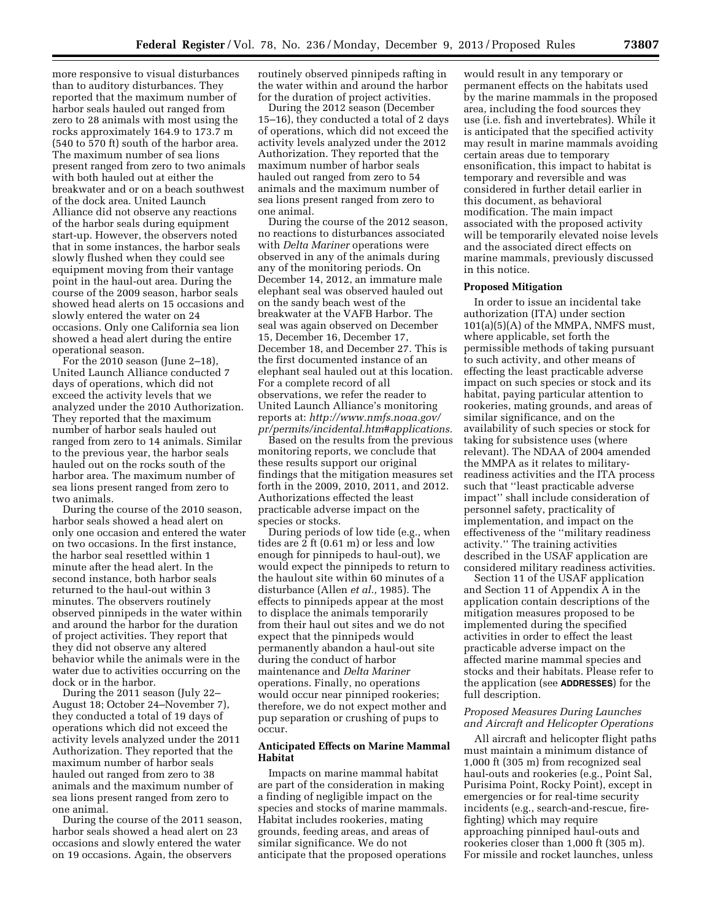more responsive to visual disturbances than to auditory disturbances. They reported that the maximum number of harbor seals hauled out ranged from zero to 28 animals with most using the rocks approximately 164.9 to 173.7 m (540 to 570 ft) south of the harbor area. The maximum number of sea lions present ranged from zero to two animals with both hauled out at either the breakwater and or on a beach southwest of the dock area. United Launch Alliance did not observe any reactions of the harbor seals during equipment start-up. However, the observers noted that in some instances, the harbor seals slowly flushed when they could see equipment moving from their vantage point in the haul-out area. During the course of the 2009 season, harbor seals showed head alerts on 15 occasions and slowly entered the water on 24 occasions. Only one California sea lion showed a head alert during the entire operational season.

For the 2010 season (June 2–18), United Launch Alliance conducted 7 days of operations, which did not exceed the activity levels that we analyzed under the 2010 Authorization. They reported that the maximum number of harbor seals hauled out ranged from zero to 14 animals. Similar to the previous year, the harbor seals hauled out on the rocks south of the harbor area. The maximum number of sea lions present ranged from zero to two animals.

During the course of the 2010 season, harbor seals showed a head alert on only one occasion and entered the water on two occasions. In the first instance, the harbor seal resettled within 1 minute after the head alert. In the second instance, both harbor seals returned to the haul-out within 3 minutes. The observers routinely observed pinnipeds in the water within and around the harbor for the duration of project activities. They report that they did not observe any altered behavior while the animals were in the water due to activities occurring on the dock or in the harbor.

During the 2011 season (July 22– August 18; October 24–November 7), they conducted a total of 19 days of operations which did not exceed the activity levels analyzed under the 2011 Authorization. They reported that the maximum number of harbor seals hauled out ranged from zero to 38 animals and the maximum number of sea lions present ranged from zero to one animal.

During the course of the 2011 season, harbor seals showed a head alert on 23 occasions and slowly entered the water on 19 occasions. Again, the observers

routinely observed pinnipeds rafting in the water within and around the harbor for the duration of project activities.

During the 2012 season (December 15–16), they conducted a total of 2 days of operations, which did not exceed the activity levels analyzed under the 2012 Authorization. They reported that the maximum number of harbor seals hauled out ranged from zero to 54 animals and the maximum number of sea lions present ranged from zero to one animal.

During the course of the 2012 season, no reactions to disturbances associated with *Delta Mariner* operations were observed in any of the animals during any of the monitoring periods. On December 14, 2012, an immature male elephant seal was observed hauled out on the sandy beach west of the breakwater at the VAFB Harbor. The seal was again observed on December 15, December 16, December 17, December 18, and December 27. This is the first documented instance of an elephant seal hauled out at this location. For a complete record of all observations, we refer the reader to United Launch Alliance's monitoring reports at: *[http://www.nmfs.noaa.gov/](http://www.nmfs.noaa.gov/pr/permits/incidental.htm#applications) [pr/permits/incidental.htm#applications.](http://www.nmfs.noaa.gov/pr/permits/incidental.htm#applications)* 

Based on the results from the previous monitoring reports, we conclude that these results support our original findings that the mitigation measures set forth in the 2009, 2010, 2011, and 2012. Authorizations effected the least practicable adverse impact on the species or stocks.

During periods of low tide (e.g., when tides are 2 ft (0.61 m) or less and low enough for pinnipeds to haul-out), we would expect the pinnipeds to return to the haulout site within 60 minutes of a disturbance (Allen *et al.,* 1985). The effects to pinnipeds appear at the most to displace the animals temporarily from their haul out sites and we do not expect that the pinnipeds would permanently abandon a haul-out site during the conduct of harbor maintenance and *Delta Mariner*  operations. Finally, no operations would occur near pinniped rookeries; therefore, we do not expect mother and pup separation or crushing of pups to occur.

## **Anticipated Effects on Marine Mammal Habitat**

Impacts on marine mammal habitat are part of the consideration in making a finding of negligible impact on the species and stocks of marine mammals. Habitat includes rookeries, mating grounds, feeding areas, and areas of similar significance. We do not anticipate that the proposed operations

would result in any temporary or permanent effects on the habitats used by the marine mammals in the proposed area, including the food sources they use (i.e. fish and invertebrates). While it is anticipated that the specified activity may result in marine mammals avoiding certain areas due to temporary ensonification, this impact to habitat is temporary and reversible and was considered in further detail earlier in this document, as behavioral modification. The main impact associated with the proposed activity will be temporarily elevated noise levels and the associated direct effects on marine mammals, previously discussed in this notice.

#### **Proposed Mitigation**

In order to issue an incidental take authorization (ITA) under section 101(a)(5)(A) of the MMPA, NMFS must, where applicable, set forth the permissible methods of taking pursuant to such activity, and other means of effecting the least practicable adverse impact on such species or stock and its habitat, paying particular attention to rookeries, mating grounds, and areas of similar significance, and on the availability of such species or stock for taking for subsistence uses (where relevant). The NDAA of 2004 amended the MMPA as it relates to militaryreadiness activities and the ITA process such that ''least practicable adverse impact'' shall include consideration of personnel safety, practicality of implementation, and impact on the effectiveness of the ''military readiness activity.'' The training activities described in the USAF application are considered military readiness activities.

Section 11 of the USAF application and Section 11 of Appendix A in the application contain descriptions of the mitigation measures proposed to be implemented during the specified activities in order to effect the least practicable adverse impact on the affected marine mammal species and stocks and their habitats. Please refer to the application (see **ADDRESSES**) for the full description.

## *Proposed Measures During Launches and Aircraft and Helicopter Operations*

All aircraft and helicopter flight paths must maintain a minimum distance of 1,000 ft (305 m) from recognized seal haul-outs and rookeries (e.g., Point Sal, Purisima Point, Rocky Point), except in emergencies or for real-time security incidents (e.g., search-and-rescue, firefighting) which may require approaching pinniped haul-outs and rookeries closer than 1,000 ft (305 m). For missile and rocket launches, unless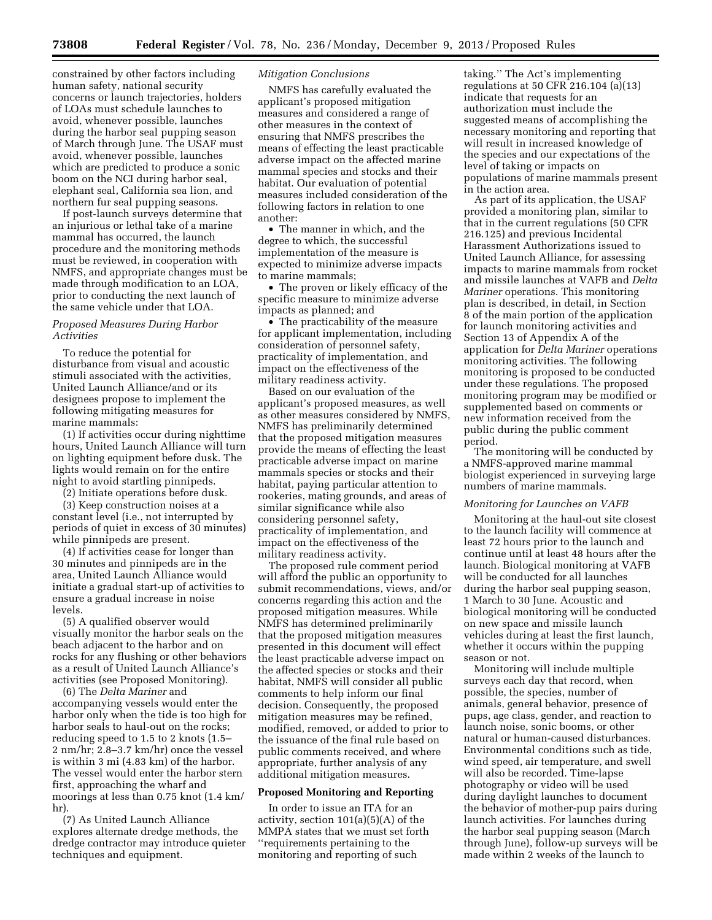constrained by other factors including human safety, national security concerns or launch trajectories, holders of LOAs must schedule launches to avoid, whenever possible, launches during the harbor seal pupping season of March through June. The USAF must avoid, whenever possible, launches which are predicted to produce a sonic boom on the NCI during harbor seal, elephant seal, California sea lion, and northern fur seal pupping seasons.

If post-launch surveys determine that an injurious or lethal take of a marine mammal has occurred, the launch procedure and the monitoring methods must be reviewed, in cooperation with NMFS, and appropriate changes must be made through modification to an LOA, prior to conducting the next launch of the same vehicle under that LOA.

## *Proposed Measures During Harbor Activities*

To reduce the potential for disturbance from visual and acoustic stimuli associated with the activities, United Launch Alliance/and or its designees propose to implement the following mitigating measures for marine mammals:

(1) If activities occur during nighttime hours, United Launch Alliance will turn on lighting equipment before dusk. The lights would remain on for the entire night to avoid startling pinnipeds.

(2) Initiate operations before dusk.

(3) Keep construction noises at a constant level (i.e., not interrupted by periods of quiet in excess of 30 minutes) while pinnipeds are present.

(4) If activities cease for longer than 30 minutes and pinnipeds are in the area, United Launch Alliance would initiate a gradual start-up of activities to ensure a gradual increase in noise levels.

(5) A qualified observer would visually monitor the harbor seals on the beach adjacent to the harbor and on rocks for any flushing or other behaviors as a result of United Launch Alliance's activities (see Proposed Monitoring).

(6) The *Delta Mariner* and accompanying vessels would enter the harbor only when the tide is too high for harbor seals to haul-out on the rocks; reducing speed to 1.5 to 2 knots (1.5– 2 nm/hr; 2.8–3.7 km/hr) once the vessel is within 3 mi (4.83 km) of the harbor. The vessel would enter the harbor stern first, approaching the wharf and moorings at less than 0.75 knot (1.4 km/ hr).

(7) As United Launch Alliance explores alternate dredge methods, the dredge contractor may introduce quieter techniques and equipment.

## *Mitigation Conclusions*

NMFS has carefully evaluated the applicant's proposed mitigation measures and considered a range of other measures in the context of ensuring that NMFS prescribes the means of effecting the least practicable adverse impact on the affected marine mammal species and stocks and their habitat. Our evaluation of potential measures included consideration of the following factors in relation to one another:

• The manner in which, and the degree to which, the successful implementation of the measure is expected to minimize adverse impacts to marine mammals;

• The proven or likely efficacy of the specific measure to minimize adverse impacts as planned; and

• The practicability of the measure for applicant implementation, including consideration of personnel safety, practicality of implementation, and impact on the effectiveness of the military readiness activity.

Based on our evaluation of the applicant's proposed measures, as well as other measures considered by NMFS, NMFS has preliminarily determined that the proposed mitigation measures provide the means of effecting the least practicable adverse impact on marine mammals species or stocks and their habitat, paying particular attention to rookeries, mating grounds, and areas of similar significance while also considering personnel safety, practicality of implementation, and impact on the effectiveness of the military readiness activity.

The proposed rule comment period will afford the public an opportunity to submit recommendations, views, and/or concerns regarding this action and the proposed mitigation measures. While NMFS has determined preliminarily that the proposed mitigation measures presented in this document will effect the least practicable adverse impact on the affected species or stocks and their habitat, NMFS will consider all public comments to help inform our final decision. Consequently, the proposed mitigation measures may be refined, modified, removed, or added to prior to the issuance of the final rule based on public comments received, and where appropriate, further analysis of any additional mitigation measures.

## **Proposed Monitoring and Reporting**

In order to issue an ITA for an activity, section 101(a)(5)(A) of the MMPA states that we must set forth ''requirements pertaining to the monitoring and reporting of such

taking.'' The Act's implementing regulations at 50 CFR 216.104 (a)(13) indicate that requests for an authorization must include the suggested means of accomplishing the necessary monitoring and reporting that will result in increased knowledge of the species and our expectations of the level of taking or impacts on populations of marine mammals present in the action area.

As part of its application, the USAF provided a monitoring plan, similar to that in the current regulations (50 CFR 216.125) and previous Incidental Harassment Authorizations issued to United Launch Alliance, for assessing impacts to marine mammals from rocket and missile launches at VAFB and *Delta Mariner* operations. This monitoring plan is described, in detail, in Section 8 of the main portion of the application for launch monitoring activities and Section 13 of Appendix A of the application for *Delta Mariner* operations monitoring activities. The following monitoring is proposed to be conducted under these regulations. The proposed monitoring program may be modified or supplemented based on comments or new information received from the public during the public comment period.

The monitoring will be conducted by a NMFS-approved marine mammal biologist experienced in surveying large numbers of marine mammals.

#### *Monitoring for Launches on VAFB*

Monitoring at the haul-out site closest to the launch facility will commence at least 72 hours prior to the launch and continue until at least 48 hours after the launch. Biological monitoring at VAFB will be conducted for all launches during the harbor seal pupping season, 1 March to 30 June. Acoustic and biological monitoring will be conducted on new space and missile launch vehicles during at least the first launch, whether it occurs within the pupping season or not.

Monitoring will include multiple surveys each day that record, when possible, the species, number of animals, general behavior, presence of pups, age class, gender, and reaction to launch noise, sonic booms, or other natural or human-caused disturbances. Environmental conditions such as tide, wind speed, air temperature, and swell will also be recorded. Time-lapse photography or video will be used during daylight launches to document the behavior of mother-pup pairs during launch activities. For launches during the harbor seal pupping season (March through June), follow-up surveys will be made within 2 weeks of the launch to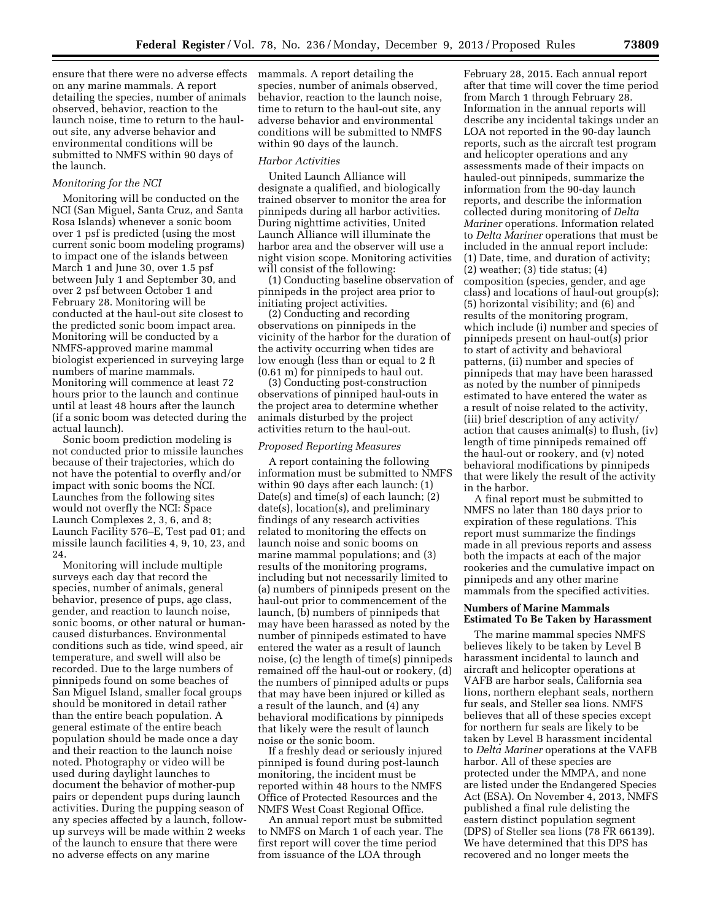ensure that there were no adverse effects on any marine mammals. A report detailing the species, number of animals observed, behavior, reaction to the launch noise, time to return to the haulout site, any adverse behavior and environmental conditions will be submitted to NMFS within 90 days of the launch.

## *Monitoring for the NCI*

Monitoring will be conducted on the NCI (San Miguel, Santa Cruz, and Santa Rosa Islands) whenever a sonic boom over 1 psf is predicted (using the most current sonic boom modeling programs) to impact one of the islands between March 1 and June 30, over 1.5 psf between July 1 and September 30, and over 2 psf between October 1 and February 28. Monitoring will be conducted at the haul-out site closest to the predicted sonic boom impact area. Monitoring will be conducted by a NMFS-approved marine mammal biologist experienced in surveying large numbers of marine mammals. Monitoring will commence at least 72 hours prior to the launch and continue until at least 48 hours after the launch (if a sonic boom was detected during the actual launch).

Sonic boom prediction modeling is not conducted prior to missile launches because of their trajectories, which do not have the potential to overfly and/or impact with sonic booms the NCI. Launches from the following sites would not overfly the NCI: Space Launch Complexes 2, 3, 6, and 8; Launch Facility 576–E, Test pad 01; and missile launch facilities 4, 9, 10, 23, and 24.

Monitoring will include multiple surveys each day that record the species, number of animals, general behavior, presence of pups, age class, gender, and reaction to launch noise, sonic booms, or other natural or humancaused disturbances. Environmental conditions such as tide, wind speed, air temperature, and swell will also be recorded. Due to the large numbers of pinnipeds found on some beaches of San Miguel Island, smaller focal groups should be monitored in detail rather than the entire beach population. A general estimate of the entire beach population should be made once a day and their reaction to the launch noise noted. Photography or video will be used during daylight launches to document the behavior of mother-pup pairs or dependent pups during launch activities. During the pupping season of any species affected by a launch, followup surveys will be made within 2 weeks of the launch to ensure that there were no adverse effects on any marine

mammals. A report detailing the species, number of animals observed, behavior, reaction to the launch noise, time to return to the haul-out site, any adverse behavior and environmental conditions will be submitted to NMFS within 90 days of the launch.

#### *Harbor Activities*

United Launch Alliance will designate a qualified, and biologically trained observer to monitor the area for pinnipeds during all harbor activities. During nighttime activities, United Launch Alliance will illuminate the harbor area and the observer will use a night vision scope. Monitoring activities will consist of the following:

(1) Conducting baseline observation of pinnipeds in the project area prior to initiating project activities.

(2) Conducting and recording observations on pinnipeds in the vicinity of the harbor for the duration of the activity occurring when tides are low enough (less than or equal to 2 ft (0.61 m) for pinnipeds to haul out.

(3) Conducting post-construction observations of pinniped haul-outs in the project area to determine whether animals disturbed by the project activities return to the haul-out.

#### *Proposed Reporting Measures*

A report containing the following information must be submitted to NMFS within 90 days after each launch: (1) Date(s) and time(s) of each launch; (2) date(s), location(s), and preliminary findings of any research activities related to monitoring the effects on launch noise and sonic booms on marine mammal populations; and (3) results of the monitoring programs, including but not necessarily limited to (a) numbers of pinnipeds present on the haul-out prior to commencement of the launch, (b) numbers of pinnipeds that may have been harassed as noted by the number of pinnipeds estimated to have entered the water as a result of launch noise, (c) the length of time(s) pinnipeds remained off the haul-out or rookery, (d) the numbers of pinniped adults or pups that may have been injured or killed as a result of the launch, and (4) any behavioral modifications by pinnipeds that likely were the result of launch noise or the sonic boom.

If a freshly dead or seriously injured pinniped is found during post-launch monitoring, the incident must be reported within 48 hours to the NMFS Office of Protected Resources and the NMFS West Coast Regional Office.

An annual report must be submitted to NMFS on March 1 of each year. The first report will cover the time period from issuance of the LOA through

February 28, 2015. Each annual report after that time will cover the time period from March 1 through February 28. Information in the annual reports will describe any incidental takings under an LOA not reported in the 90-day launch reports, such as the aircraft test program and helicopter operations and any assessments made of their impacts on hauled-out pinnipeds, summarize the information from the 90-day launch reports, and describe the information collected during monitoring of *Delta Mariner* operations. Information related to *Delta Mariner* operations that must be included in the annual report include: (1) Date, time, and duration of activity; (2) weather; (3) tide status; (4) composition (species, gender, and age class) and locations of haul-out group(s); (5) horizontal visibility; and (6) and results of the monitoring program, which include (i) number and species of pinnipeds present on haul-out(s) prior to start of activity and behavioral patterns, (ii) number and species of pinnipeds that may have been harassed as noted by the number of pinnipeds estimated to have entered the water as a result of noise related to the activity, (iii) brief description of any activity/ action that causes animal(s) to flush, (iv) length of time pinnipeds remained off the haul-out or rookery, and (v) noted behavioral modifications by pinnipeds that were likely the result of the activity in the harbor.

A final report must be submitted to NMFS no later than 180 days prior to expiration of these regulations. This report must summarize the findings made in all previous reports and assess both the impacts at each of the major rookeries and the cumulative impact on pinnipeds and any other marine mammals from the specified activities.

### **Numbers of Marine Mammals Estimated To Be Taken by Harassment**

The marine mammal species NMFS believes likely to be taken by Level B harassment incidental to launch and aircraft and helicopter operations at VAFB are harbor seals, California sea lions, northern elephant seals, northern fur seals, and Steller sea lions. NMFS believes that all of these species except for northern fur seals are likely to be taken by Level B harassment incidental to *Delta Mariner* operations at the VAFB harbor. All of these species are protected under the MMPA, and none are listed under the Endangered Species Act (ESA). On November 4, 2013, NMFS published a final rule delisting the eastern distinct population segment (DPS) of Steller sea lions (78 FR 66139). We have determined that this DPS has recovered and no longer meets the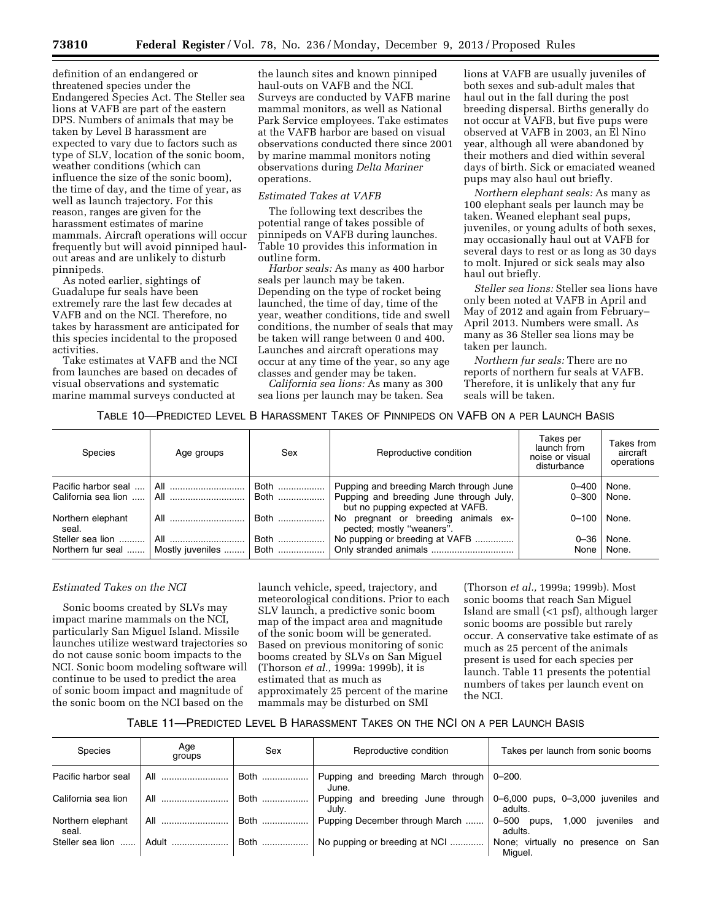**73810 Federal Register** / Vol. 78, No. 236 / Monday, December 9, 2013 / Proposed Rules

definition of an endangered or threatened species under the Endangered Species Act. The Steller sea lions at VAFB are part of the eastern DPS. Numbers of animals that may be taken by Level B harassment are expected to vary due to factors such as type of SLV, location of the sonic boom, weather conditions (which can influence the size of the sonic boom), the time of day, and the time of year, as well as launch trajectory. For this reason, ranges are given for the harassment estimates of marine mammals. Aircraft operations will occur frequently but will avoid pinniped haulout areas and are unlikely to disturb pinnipeds.

As noted earlier, sightings of Guadalupe fur seals have been extremely rare the last few decades at VAFB and on the NCI. Therefore, no takes by harassment are anticipated for this species incidental to the proposed activities.

Take estimates at VAFB and the NCI from launches are based on decades of visual observations and systematic marine mammal surveys conducted at

the launch sites and known pinniped haul-outs on VAFB and the NCI. Surveys are conducted by VAFB marine mammal monitors, as well as National Park Service employees. Take estimates at the VAFB harbor are based on visual observations conducted there since 2001 by marine mammal monitors noting observations during *Delta Mariner*  operations.

## *Estimated Takes at VAFB*

The following text describes the potential range of takes possible of pinnipeds on VAFB during launches. Table 10 provides this information in outline form.

*Harbor seals:* As many as 400 harbor seals per launch may be taken. Depending on the type of rocket being launched, the time of day, time of the year, weather conditions, tide and swell conditions, the number of seals that may be taken will range between 0 and 400. Launches and aircraft operations may occur at any time of the year, so any age classes and gender may be taken.

*California sea lions:* As many as 300 sea lions per launch may be taken. Sea

lions at VAFB are usually juveniles of both sexes and sub-adult males that haul out in the fall during the post breeding dispersal. Births generally do not occur at VAFB, but five pups were observed at VAFB in 2003, an El Nino year, although all were abandoned by their mothers and died within several days of birth. Sick or emaciated weaned pups may also haul out briefly.

*Northern elephant seals:* As many as 100 elephant seals per launch may be taken. Weaned elephant seal pups, juveniles, or young adults of both sexes, may occasionally haul out at VAFB for several days to rest or as long as 30 days to molt. Injured or sick seals may also haul out briefly.

*Steller sea lions:* Steller sea lions have only been noted at VAFB in April and May of 2012 and again from February– April 2013. Numbers were small. As many as 36 Steller sea lions may be taken per launch.

*Northern fur seals:* There are no reports of northern fur seals at VAFB. Therefore, it is unlikely that any fur seals will be taken.

# TABLE 10—PREDICTED LEVEL B HARASSMENT TAKES OF PINNIPEDS ON VAFB ON A PER LAUNCH BASIS

| <b>Species</b>                             | Age groups              | Sex          | Reproductive condition                                                                                                 | Takes per<br>launch from<br>noise or visual<br>disturbance | Takes from<br>aircraft<br>operations |
|--------------------------------------------|-------------------------|--------------|------------------------------------------------------------------------------------------------------------------------|------------------------------------------------------------|--------------------------------------|
| Pacific harbor seal<br>California sea lion | All<br>All              | Both<br>Both | Pupping and breeding March through June<br>Pupping and breeding June through July,<br>but no pupping expected at VAFB. | $0 - 400$<br>$0 - 300$                                     | None.<br>None.                       |
| Northern elephant<br>seal.                 | All                     | Both         | pregnant or breeding animals ex-<br>No.<br>pected; mostly "weaners".                                                   | $0 - 100$                                                  | None.                                |
| Steller sea lion<br>Northern fur seal      | All<br>Mostly juveniles | Both<br>Both | No pupping or breeding at VAFB                                                                                         | $0 - 36$<br>None                                           | None.<br>None.                       |

## *Estimated Takes on the NCI*

Sonic booms created by SLVs may impact marine mammals on the NCI, particularly San Miguel Island. Missile launches utilize westward trajectories so do not cause sonic boom impacts to the NCI. Sonic boom modeling software will continue to be used to predict the area of sonic boom impact and magnitude of the sonic boom on the NCI based on the

launch vehicle, speed, trajectory, and meteorological conditions. Prior to each SLV launch, a predictive sonic boom map of the impact area and magnitude of the sonic boom will be generated. Based on previous monitoring of sonic booms created by SLVs on San Miguel (Thorson *et al.,* 1999a: 1999b), it is estimated that as much as approximately 25 percent of the marine mammals may be disturbed on SMI

(Thorson *et al.,* 1999a; 1999b). Most sonic booms that reach San Miguel Island are small (<1 psf), although larger sonic booms are possible but rarely occur. A conservative take estimate of as much as 25 percent of the animals present is used for each species per launch. Table 11 presents the potential numbers of takes per launch event on the NCI.

# TABLE 11—PREDICTED LEVEL B HARASSMENT TAKES ON THE NCI ON A PER LAUNCH BASIS

| Species                    | Age<br>groups | Sex  | Reproductive condition                        | Takes per launch from sonic booms                       |
|----------------------------|---------------|------|-----------------------------------------------|---------------------------------------------------------|
| Pacific harbor seal        | All           | Both | Pupping and breeding March through<br>June.   | $0 - 200.$                                              |
| California sea lion        | All           | Both | and breeding June through<br>Pupping<br>Julv. | $0-6,000$ pups, $0-3,000$ juveniles and<br>adults.      |
| Northern elephant<br>seal. | All           | Both | Pupping December through March                | juveniles and<br>$0 - 500$<br>1,000<br>pups,<br>adults. |
| Steller sea lion           | Adult         | Both | No pupping or breeding at NCI                 | None; virtually no presence on San<br>Miguel.           |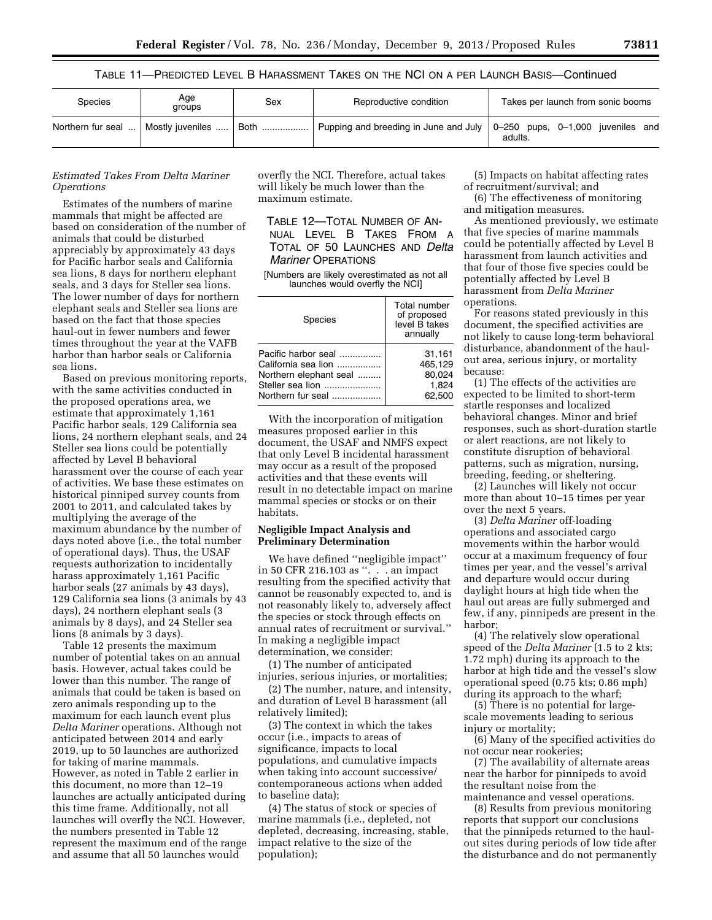TABLE 11—PREDICTED LEVEL B HARASSMENT TAKES ON THE NCI ON A PER LAUNCH BASIS—Continued

| <b>Species</b>    | Age<br>groups    | Sex  | Reproductive condition                            | Takes per launch from sonic booms                    |
|-------------------|------------------|------|---------------------------------------------------|------------------------------------------------------|
| Northern fur seal | Mostly juveniles | Both | Pupping and breeding in June and July $\parallel$ | $\vert$ 0-250 pups, 0-1,000 juveniles and<br>adults. |

## *Estimated Takes From Delta Mariner Operations*

Estimates of the numbers of marine mammals that might be affected are based on consideration of the number of animals that could be disturbed appreciably by approximately 43 days for Pacific harbor seals and California sea lions, 8 days for northern elephant seals, and 3 days for Steller sea lions. The lower number of days for northern elephant seals and Steller sea lions are based on the fact that those species haul-out in fewer numbers and fewer times throughout the year at the VAFB harbor than harbor seals or California sea lions.

Based on previous monitoring reports, with the same activities conducted in the proposed operations area, we estimate that approximately 1,161 Pacific harbor seals, 129 California sea lions, 24 northern elephant seals, and 24 Steller sea lions could be potentially affected by Level B behavioral harassment over the course of each year of activities. We base these estimates on historical pinniped survey counts from 2001 to 2011, and calculated takes by multiplying the average of the maximum abundance by the number of days noted above (i.e., the total number of operational days). Thus, the USAF requests authorization to incidentally harass approximately 1,161 Pacific harbor seals (27 animals by 43 days), 129 California sea lions (3 animals by 43 days), 24 northern elephant seals (3 animals by 8 days), and 24 Steller sea lions (8 animals by 3 days).

Table 12 presents the maximum number of potential takes on an annual basis. However, actual takes could be lower than this number. The range of animals that could be taken is based on zero animals responding up to the maximum for each launch event plus *Delta Mariner* operations. Although not anticipated between 2014 and early 2019, up to 50 launches are authorized for taking of marine mammals. However, as noted in Table 2 earlier in this document, no more than 12–19 launches are actually anticipated during this time frame. Additionally, not all launches will overfly the NCI. However, the numbers presented in Table 12 represent the maximum end of the range and assume that all 50 launches would

overfly the NCI. Therefore, actual takes will likely be much lower than the maximum estimate.

TABLE 12—TOTAL NUMBER OF AN-NUAL LEVEL B TAKES FROM A TOTAL OF 50 LAUNCHES AND *Delta Mariner* OPERATIONS

[Numbers are likely overestimated as not all launches would overfly the NCI]

| <b>Species</b>         | Total number<br>of proposed<br>level B takes<br>annually |
|------------------------|----------------------------------------------------------|
| Pacific harbor seal    | 31,161                                                   |
| California sea lion    | 465,129                                                  |
| Northern elephant seal | 80,024                                                   |
| Steller sea lion       | 1.824                                                    |
| Northern fur seal      | 62.500                                                   |

With the incorporation of mitigation measures proposed earlier in this document, the USAF and NMFS expect that only Level B incidental harassment may occur as a result of the proposed activities and that these events will result in no detectable impact on marine mammal species or stocks or on their habitats.

## **Negligible Impact Analysis and Preliminary Determination**

We have defined ''negligible impact'' in 50 CFR 216.103 as ''. . . an impact resulting from the specified activity that cannot be reasonably expected to, and is not reasonably likely to, adversely affect the species or stock through effects on annual rates of recruitment or survival.'' In making a negligible impact determination, we consider:

(1) The number of anticipated injuries, serious injuries, or mortalities;

(2) The number, nature, and intensity, and duration of Level B harassment (all relatively limited);

(3) The context in which the takes occur (i.e., impacts to areas of significance, impacts to local populations, and cumulative impacts when taking into account successive/ contemporaneous actions when added to baseline data);

(4) The status of stock or species of marine mammals (i.e., depleted, not depleted, decreasing, increasing, stable, impact relative to the size of the population);

(5) Impacts on habitat affecting rates of recruitment/survival; and

(6) The effectiveness of monitoring and mitigation measures.

As mentioned previously, we estimate that five species of marine mammals could be potentially affected by Level B harassment from launch activities and that four of those five species could be potentially affected by Level B harassment from *Delta Mariner*  operations.

For reasons stated previously in this document, the specified activities are not likely to cause long-term behavioral disturbance, abandonment of the haulout area, serious injury, or mortality because:

(1) The effects of the activities are expected to be limited to short-term startle responses and localized behavioral changes. Minor and brief responses, such as short-duration startle or alert reactions, are not likely to constitute disruption of behavioral patterns, such as migration, nursing, breeding, feeding, or sheltering.

(2) Launches will likely not occur more than about 10–15 times per year over the next 5 years.

(3) *Delta Mariner* off-loading operations and associated cargo movements within the harbor would occur at a maximum frequency of four times per year, and the vessel's arrival and departure would occur during daylight hours at high tide when the haul out areas are fully submerged and few, if any, pinnipeds are present in the harbor;

(4) The relatively slow operational speed of the *Delta Mariner* (1.5 to 2 kts; 1.72 mph) during its approach to the harbor at high tide and the vessel's slow operational speed (0.75 kts; 0.86 mph) during its approach to the wharf;

(5) There is no potential for largescale movements leading to serious injury or mortality;

(6) Many of the specified activities do not occur near rookeries;

(7) The availability of alternate areas near the harbor for pinnipeds to avoid the resultant noise from the maintenance and vessel operations.

(8) Results from previous monitoring reports that support our conclusions that the pinnipeds returned to the haulout sites during periods of low tide after the disturbance and do not permanently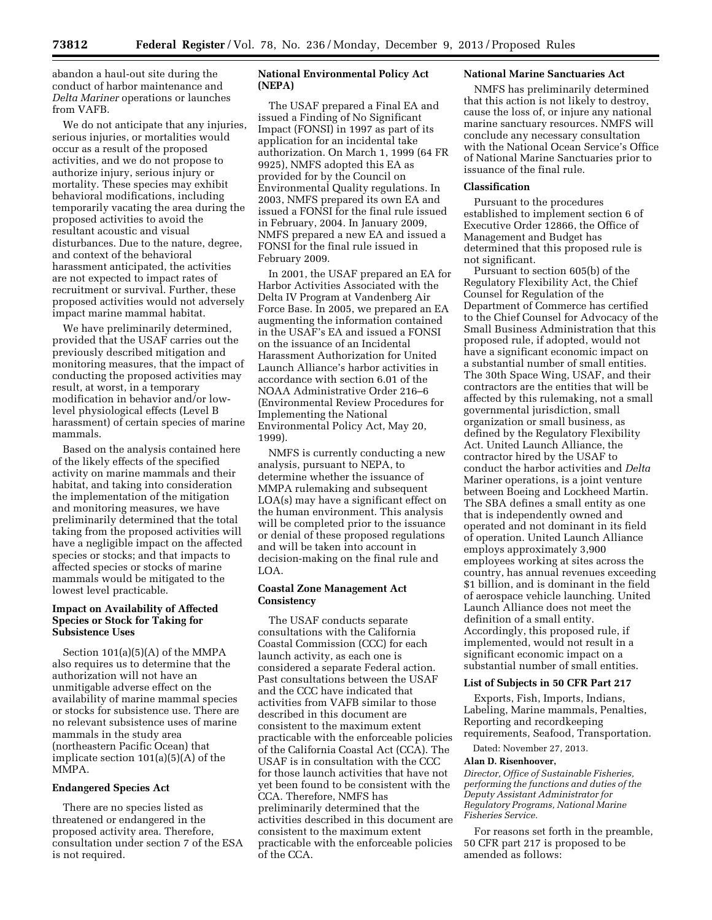abandon a haul-out site during the conduct of harbor maintenance and *Delta Mariner* operations or launches from VAFB.

We do not anticipate that any injuries, serious injuries, or mortalities would occur as a result of the proposed activities, and we do not propose to authorize injury, serious injury or mortality. These species may exhibit behavioral modifications, including temporarily vacating the area during the proposed activities to avoid the resultant acoustic and visual disturbances. Due to the nature, degree, and context of the behavioral harassment anticipated, the activities are not expected to impact rates of recruitment or survival. Further, these proposed activities would not adversely impact marine mammal habitat.

We have preliminarily determined, provided that the USAF carries out the previously described mitigation and monitoring measures, that the impact of conducting the proposed activities may result, at worst, in a temporary modification in behavior and/or lowlevel physiological effects (Level B harassment) of certain species of marine mammals.

Based on the analysis contained here of the likely effects of the specified activity on marine mammals and their habitat, and taking into consideration the implementation of the mitigation and monitoring measures, we have preliminarily determined that the total taking from the proposed activities will have a negligible impact on the affected species or stocks; and that impacts to affected species or stocks of marine mammals would be mitigated to the lowest level practicable.

## **Impact on Availability of Affected Species or Stock for Taking for Subsistence Uses**

Section 101(a)(5)(A) of the MMPA also requires us to determine that the authorization will not have an unmitigable adverse effect on the availability of marine mammal species or stocks for subsistence use. There are no relevant subsistence uses of marine mammals in the study area (northeastern Pacific Ocean) that implicate section 101(a)(5)(A) of the MMPA.

## **Endangered Species Act**

There are no species listed as threatened or endangered in the proposed activity area. Therefore, consultation under section 7 of the ESA is not required.

# **National Environmental Policy Act (NEPA)**

The USAF prepared a Final EA and issued a Finding of No Significant Impact (FONSI) in 1997 as part of its application for an incidental take authorization. On March 1, 1999 (64 FR 9925), NMFS adopted this EA as provided for by the Council on Environmental Quality regulations. In 2003, NMFS prepared its own EA and issued a FONSI for the final rule issued in February, 2004. In January 2009, NMFS prepared a new EA and issued a FONSI for the final rule issued in February 2009.

In 2001, the USAF prepared an EA for Harbor Activities Associated with the Delta IV Program at Vandenberg Air Force Base. In 2005, we prepared an EA augmenting the information contained in the USAF's EA and issued a FONSI on the issuance of an Incidental Harassment Authorization for United Launch Alliance's harbor activities in accordance with section 6.01 of the NOAA Administrative Order 216–6 (Environmental Review Procedures for Implementing the National Environmental Policy Act, May 20, 1999).

NMFS is currently conducting a new analysis, pursuant to NEPA, to determine whether the issuance of MMPA rulemaking and subsequent LOA(s) may have a significant effect on the human environment. This analysis will be completed prior to the issuance or denial of these proposed regulations and will be taken into account in decision-making on the final rule and LOA.

## **Coastal Zone Management Act Consistency**

The USAF conducts separate consultations with the California Coastal Commission (CCC) for each launch activity, as each one is considered a separate Federal action. Past consultations between the USAF and the CCC have indicated that activities from VAFB similar to those described in this document are consistent to the maximum extent practicable with the enforceable policies of the California Coastal Act (CCA). The USAF is in consultation with the CCC for those launch activities that have not yet been found to be consistent with the CCA. Therefore, NMFS has preliminarily determined that the activities described in this document are consistent to the maximum extent practicable with the enforceable policies of the CCA.

## **National Marine Sanctuaries Act**

NMFS has preliminarily determined that this action is not likely to destroy, cause the loss of, or injure any national marine sanctuary resources. NMFS will conclude any necessary consultation with the National Ocean Service's Office of National Marine Sanctuaries prior to issuance of the final rule.

## **Classification**

Pursuant to the procedures established to implement section 6 of Executive Order 12866, the Office of Management and Budget has determined that this proposed rule is not significant.

Pursuant to section 605(b) of the Regulatory Flexibility Act, the Chief Counsel for Regulation of the Department of Commerce has certified to the Chief Counsel for Advocacy of the Small Business Administration that this proposed rule, if adopted, would not have a significant economic impact on a substantial number of small entities. The 30th Space Wing, USAF, and their contractors are the entities that will be affected by this rulemaking, not a small governmental jurisdiction, small organization or small business, as defined by the Regulatory Flexibility Act. United Launch Alliance, the contractor hired by the USAF to conduct the harbor activities and *Delta*  Mariner operations, is a joint venture between Boeing and Lockheed Martin. The SBA defines a small entity as one that is independently owned and operated and not dominant in its field of operation. United Launch Alliance employs approximately 3,900 employees working at sites across the country, has annual revenues exceeding \$1 billion, and is dominant in the field of aerospace vehicle launching. United Launch Alliance does not meet the definition of a small entity. Accordingly, this proposed rule, if implemented, would not result in a significant economic impact on a substantial number of small entities.

#### **List of Subjects in 50 CFR Part 217**

Exports, Fish, Imports, Indians, Labeling, Marine mammals, Penalties, Reporting and recordkeeping requirements, Seafood, Transportation.

Dated: November 27, 2013.

### **Alan D. Risenhoover,**

*Director, Office of Sustainable Fisheries, performing the functions and duties of the Deputy Assistant Administrator for Regulatory Programs, National Marine Fisheries Service.* 

For reasons set forth in the preamble, 50 CFR part 217 is proposed to be amended as follows: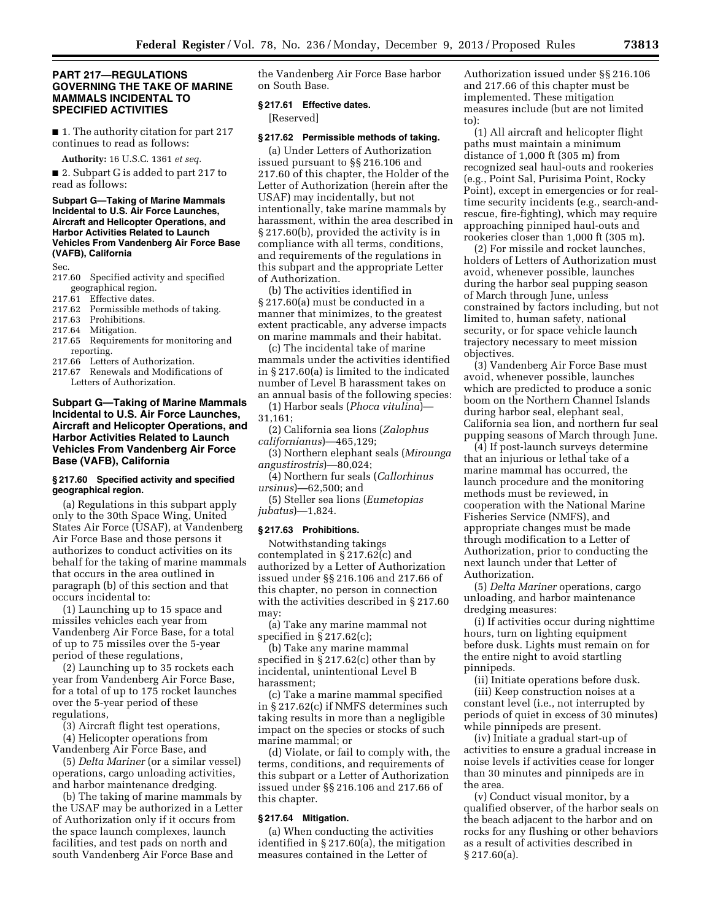## **PART 217—REGULATIONS GOVERNING THE TAKE OF MARINE MAMMALS INCIDENTAL TO SPECIFIED ACTIVITIES**

■ 1. The authority citation for part 217 continues to read as follows:

**Authority:** 16 U.S.C. 1361 *et seq.* 

■ 2. Subpart G is added to part 217 to read as follows:

### **Subpart G—Taking of Marine Mammals Incidental to U.S. Air Force Launches, Aircraft and Helicopter Operations, and Harbor Activities Related to Launch Vehicles From Vandenberg Air Force Base (VAFB), California**

Sec.

- 217.60 Specified activity and specified geographical region.
- 217.61 Effective dates
- 217.62 Permissible methods of taking.<br>217.63 Prohibitions.
- 217.63 Prohibitions.<br>217.64 Mitigation
- Mitigation.
- 217.65 Requirements for monitoring and reporting.<br>217.66 Letter
- Letters of Authorization.
- 217.67 Renewals and Modifications of Letters of Authorization.

## **Subpart G—Taking of Marine Mammals Incidental to U.S. Air Force Launches, Aircraft and Helicopter Operations, and Harbor Activities Related to Launch Vehicles From Vandenberg Air Force Base (VAFB), California**

### **§ 217.60 Specified activity and specified geographical region.**

(a) Regulations in this subpart apply only to the 30th Space Wing, United States Air Force (USAF), at Vandenberg Air Force Base and those persons it authorizes to conduct activities on its behalf for the taking of marine mammals that occurs in the area outlined in paragraph (b) of this section and that occurs incidental to:

(1) Launching up to 15 space and missiles vehicles each year from Vandenberg Air Force Base, for a total of up to 75 missiles over the 5-year period of these regulations,

(2) Launching up to 35 rockets each year from Vandenberg Air Force Base, for a total of up to 175 rocket launches over the 5-year period of these regulations,

(3) Aircraft flight test operations,

(4) Helicopter operations from Vandenberg Air Force Base, and

(5) *Delta Mariner* (or a similar vessel) operations, cargo unloading activities, and harbor maintenance dredging.

(b) The taking of marine mammals by the USAF may be authorized in a Letter of Authorization only if it occurs from the space launch complexes, launch facilities, and test pads on north and south Vandenberg Air Force Base and

the Vandenberg Air Force Base harbor on South Base.

## **§ 217.61 Effective dates.**

[Reserved]

#### **§ 217.62 Permissible methods of taking.**

(a) Under Letters of Authorization issued pursuant to §§ 216.106 and 217.60 of this chapter, the Holder of the Letter of Authorization (herein after the USAF) may incidentally, but not intentionally, take marine mammals by harassment, within the area described in § 217.60(b), provided the activity is in compliance with all terms, conditions, and requirements of the regulations in this subpart and the appropriate Letter of Authorization.

(b) The activities identified in § 217.60(a) must be conducted in a manner that minimizes, to the greatest extent practicable, any adverse impacts on marine mammals and their habitat.

(c) The incidental take of marine mammals under the activities identified in § 217.60(a) is limited to the indicated number of Level B harassment takes on an annual basis of the following species:

(1) Harbor seals (*Phoca vitulina*)— 31,161;

(2) California sea lions (*Zalophus californianus*)—465,129;

(3) Northern elephant seals (*Mirounga angustirostris*)—80,024;

(4) Northern fur seals (*Callorhinus ursinus*)—62,500; and

(5) Steller sea lions (*Eumetopias jubatus*)—1,824.

## **§ 217.63 Prohibitions.**

Notwithstanding takings contemplated in § 217.62(c) and authorized by a Letter of Authorization issued under §§ 216.106 and 217.66 of this chapter, no person in connection with the activities described in § 217.60 may:

(a) Take any marine mammal not specified in § 217.62(c);

(b) Take any marine mammal specified in § 217.62(c) other than by incidental, unintentional Level B harassment;

(c) Take a marine mammal specified in § 217.62(c) if NMFS determines such taking results in more than a negligible impact on the species or stocks of such marine mammal; or

(d) Violate, or fail to comply with, the terms, conditions, and requirements of this subpart or a Letter of Authorization issued under §§ 216.106 and 217.66 of this chapter.

## **§ 217.64 Mitigation.**

(a) When conducting the activities identified in § 217.60(a), the mitigation measures contained in the Letter of

Authorization issued under §§ 216.106 and 217.66 of this chapter must be implemented. These mitigation measures include (but are not limited to):

(1) All aircraft and helicopter flight paths must maintain a minimum distance of 1,000 ft (305 m) from recognized seal haul-outs and rookeries (e.g., Point Sal, Purisima Point, Rocky Point), except in emergencies or for realtime security incidents (e.g., search-andrescue, fire-fighting), which may require approaching pinniped haul-outs and rookeries closer than 1,000 ft (305 m).

(2) For missile and rocket launches, holders of Letters of Authorization must avoid, whenever possible, launches during the harbor seal pupping season of March through June, unless constrained by factors including, but not limited to, human safety, national security, or for space vehicle launch trajectory necessary to meet mission objectives.

(3) Vandenberg Air Force Base must avoid, whenever possible, launches which are predicted to produce a sonic boom on the Northern Channel Islands during harbor seal, elephant seal, California sea lion, and northern fur seal pupping seasons of March through June.

(4) If post-launch surveys determine that an injurious or lethal take of a marine mammal has occurred, the launch procedure and the monitoring methods must be reviewed, in cooperation with the National Marine Fisheries Service (NMFS), and appropriate changes must be made through modification to a Letter of Authorization, prior to conducting the next launch under that Letter of Authorization.

(5) *Delta Mariner* operations, cargo unloading, and harbor maintenance dredging measures:

(i) If activities occur during nighttime hours, turn on lighting equipment before dusk. Lights must remain on for the entire night to avoid startling pinnipeds.

(ii) Initiate operations before dusk.

(iii) Keep construction noises at a constant level (i.e., not interrupted by periods of quiet in excess of 30 minutes) while pinnipeds are present.

(iv) Initiate a gradual start-up of activities to ensure a gradual increase in noise levels if activities cease for longer than 30 minutes and pinnipeds are in the area.

(v) Conduct visual monitor, by a qualified observer, of the harbor seals on the beach adjacent to the harbor and on rocks for any flushing or other behaviors as a result of activities described in § 217.60(a).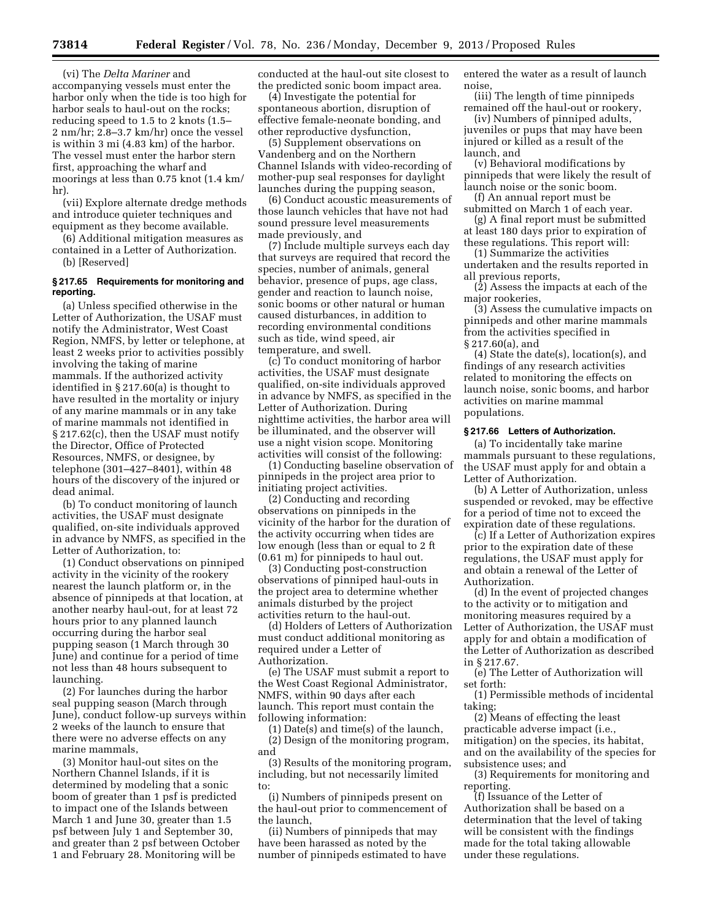**73814 Federal Register** / Vol. 78, No. 236 / Monday, December 9, 2013 / Proposed Rules

(vi) The *Delta Mariner* and accompanying vessels must enter the harbor only when the tide is too high for harbor seals to haul-out on the rocks; reducing speed to 1.5 to 2 knots (1.5– 2 nm/hr; 2.8–3.7 km/hr) once the vessel is within 3 mi (4.83 km) of the harbor. The vessel must enter the harbor stern first, approaching the wharf and moorings at less than 0.75 knot (1.4 km/ hr).

(vii) Explore alternate dredge methods and introduce quieter techniques and equipment as they become available.

(6) Additional mitigation measures as contained in a Letter of Authorization. (b) [Reserved]

## **§ 217.65 Requirements for monitoring and reporting.**

(a) Unless specified otherwise in the Letter of Authorization, the USAF must notify the Administrator, West Coast Region, NMFS, by letter or telephone, at least 2 weeks prior to activities possibly involving the taking of marine mammals. If the authorized activity identified in § 217.60(a) is thought to have resulted in the mortality or injury of any marine mammals or in any take of marine mammals not identified in § 217.62(c), then the USAF must notify the Director, Office of Protected Resources, NMFS, or designee, by telephone (301–427–8401), within 48 hours of the discovery of the injured or dead animal.

(b) To conduct monitoring of launch activities, the USAF must designate qualified, on-site individuals approved in advance by NMFS, as specified in the Letter of Authorization, to:

(1) Conduct observations on pinniped activity in the vicinity of the rookery nearest the launch platform or, in the absence of pinnipeds at that location, at another nearby haul-out, for at least 72 hours prior to any planned launch occurring during the harbor seal pupping season (1 March through 30 June) and continue for a period of time not less than 48 hours subsequent to launching.

(2) For launches during the harbor seal pupping season (March through June), conduct follow-up surveys within 2 weeks of the launch to ensure that there were no adverse effects on any marine mammals,

(3) Monitor haul-out sites on the Northern Channel Islands, if it is determined by modeling that a sonic boom of greater than 1 psf is predicted to impact one of the Islands between March 1 and June 30, greater than 1.5 psf between July 1 and September 30, and greater than 2 psf between October 1 and February 28. Monitoring will be

conducted at the haul-out site closest to the predicted sonic boom impact area.

(4) Investigate the potential for spontaneous abortion, disruption of effective female-neonate bonding, and other reproductive dysfunction,

(5) Supplement observations on Vandenberg and on the Northern Channel Islands with video-recording of mother-pup seal responses for daylight launches during the pupping season,

(6) Conduct acoustic measurements of those launch vehicles that have not had sound pressure level measurements made previously, and

(7) Include multiple surveys each day that surveys are required that record the species, number of animals, general behavior, presence of pups, age class, gender and reaction to launch noise, sonic booms or other natural or human caused disturbances, in addition to recording environmental conditions such as tide, wind speed, air temperature, and swell.

(c) To conduct monitoring of harbor activities, the USAF must designate qualified, on-site individuals approved in advance by NMFS, as specified in the Letter of Authorization. During nighttime activities, the harbor area will be illuminated, and the observer will use a night vision scope. Monitoring activities will consist of the following:

(1) Conducting baseline observation of pinnipeds in the project area prior to initiating project activities.

(2) Conducting and recording observations on pinnipeds in the vicinity of the harbor for the duration of the activity occurring when tides are low enough (less than or equal to 2 ft (0.61 m) for pinnipeds to haul out.

(3) Conducting post-construction observations of pinniped haul-outs in the project area to determine whether animals disturbed by the project activities return to the haul-out.

(d) Holders of Letters of Authorization must conduct additional monitoring as required under a Letter of Authorization.

(e) The USAF must submit a report to the West Coast Regional Administrator, NMFS, within 90 days after each launch. This report must contain the following information:

(1) Date(s) and time(s) of the launch,

(2) Design of the monitoring program, and

(3) Results of the monitoring program, including, but not necessarily limited to:

(i) Numbers of pinnipeds present on the haul-out prior to commencement of the launch,

(ii) Numbers of pinnipeds that may have been harassed as noted by the number of pinnipeds estimated to have entered the water as a result of launch noise,

(iii) The length of time pinnipeds remained off the haul-out or rookery,

(iv) Numbers of pinniped adults, juveniles or pups that may have been injured or killed as a result of the launch, and

(v) Behavioral modifications by pinnipeds that were likely the result of launch noise or the sonic boom.

(f) An annual report must be submitted on March 1 of each year.

(g) A final report must be submitted at least 180 days prior to expiration of these regulations. This report will:

(1) Summarize the activities undertaken and the results reported in all previous reports,

(2) Assess the impacts at each of the major rookeries,

(3) Assess the cumulative impacts on pinnipeds and other marine mammals from the activities specified in § 217.60(a), and

(4) State the date(s), location(s), and findings of any research activities related to monitoring the effects on launch noise, sonic booms, and harbor activities on marine mammal populations.

#### **§ 217.66 Letters of Authorization.**

(a) To incidentally take marine mammals pursuant to these regulations, the USAF must apply for and obtain a Letter of Authorization.

(b) A Letter of Authorization, unless suspended or revoked, may be effective for a period of time not to exceed the expiration date of these regulations.

(c) If a Letter of Authorization expires prior to the expiration date of these regulations, the USAF must apply for and obtain a renewal of the Letter of Authorization.

(d) In the event of projected changes to the activity or to mitigation and monitoring measures required by a Letter of Authorization, the USAF must apply for and obtain a modification of the Letter of Authorization as described in § 217.67.

(e) The Letter of Authorization will set forth:

(1) Permissible methods of incidental taking;

(2) Means of effecting the least practicable adverse impact (i.e., mitigation) on the species, its habitat, and on the availability of the species for subsistence uses; and

(3) Requirements for monitoring and reporting.

(f) Issuance of the Letter of Authorization shall be based on a determination that the level of taking will be consistent with the findings made for the total taking allowable under these regulations.